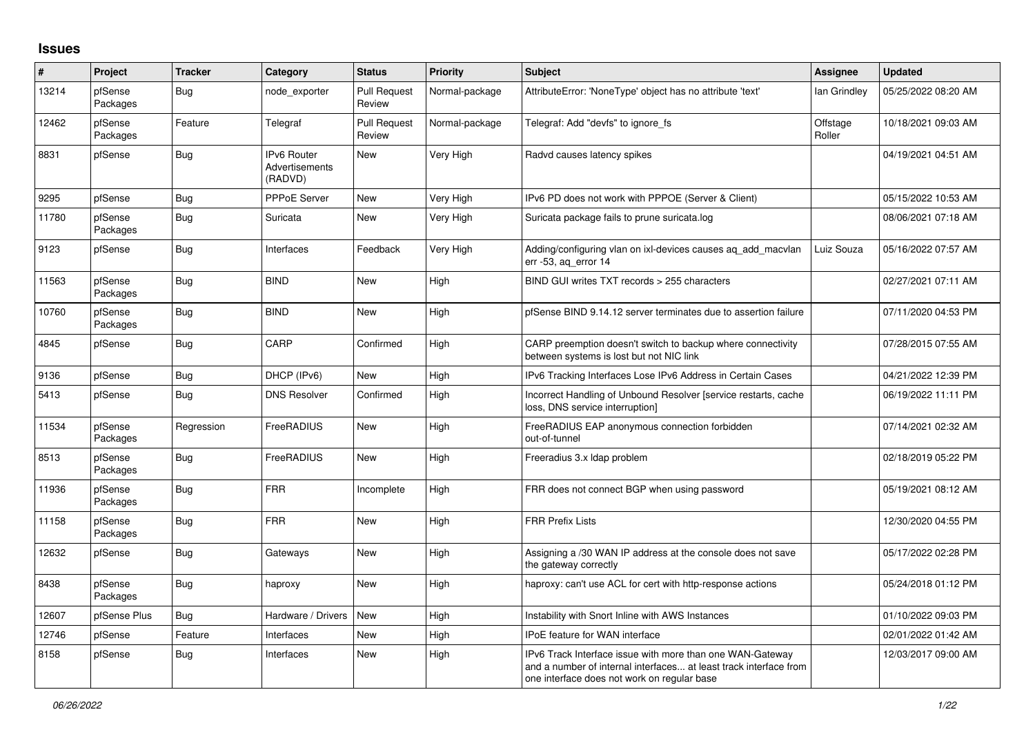## **Issues**

| #     | Project             | <b>Tracker</b> | Category                                 | <b>Status</b>                 | <b>Priority</b> | <b>Subject</b>                                                                                                                                                                | <b>Assignee</b>    | <b>Updated</b>      |
|-------|---------------------|----------------|------------------------------------------|-------------------------------|-----------------|-------------------------------------------------------------------------------------------------------------------------------------------------------------------------------|--------------------|---------------------|
| 13214 | pfSense<br>Packages | Bug            | node exporter                            | <b>Pull Request</b><br>Review | Normal-package  | AttributeError: 'NoneType' object has no attribute 'text'                                                                                                                     | lan Grindley       | 05/25/2022 08:20 AM |
| 12462 | pfSense<br>Packages | Feature        | Telegraf                                 | Pull Request<br>Review        | Normal-package  | Telegraf: Add "devfs" to ignore fs                                                                                                                                            | Offstage<br>Roller | 10/18/2021 09:03 AM |
| 8831  | pfSense             | Bug            | IPv6 Router<br>Advertisements<br>(RADVD) | New                           | Very High       | Radvd causes latency spikes                                                                                                                                                   |                    | 04/19/2021 04:51 AM |
| 9295  | pfSense             | Bug            | PPPoE Server                             | New                           | Very High       | IPv6 PD does not work with PPPOE (Server & Client)                                                                                                                            |                    | 05/15/2022 10:53 AM |
| 11780 | pfSense<br>Packages | <b>Bug</b>     | Suricata                                 | New                           | Very High       | Suricata package fails to prune suricata.log                                                                                                                                  |                    | 08/06/2021 07:18 AM |
| 9123  | pfSense             | <b>Bug</b>     | Interfaces                               | Feedback                      | Very High       | Adding/configuring vlan on ixl-devices causes ag add macvlan<br>err -53, aq_error 14                                                                                          | Luiz Souza         | 05/16/2022 07:57 AM |
| 11563 | pfSense<br>Packages | Bug            | <b>BIND</b>                              | <b>New</b>                    | High            | BIND GUI writes TXT records > 255 characters                                                                                                                                  |                    | 02/27/2021 07:11 AM |
| 10760 | pfSense<br>Packages | Bug            | <b>BIND</b>                              | <b>New</b>                    | High            | pfSense BIND 9.14.12 server terminates due to assertion failure                                                                                                               |                    | 07/11/2020 04:53 PM |
| 4845  | pfSense             | Bug            | CARP                                     | Confirmed                     | High            | CARP preemption doesn't switch to backup where connectivity<br>between systems is lost but not NIC link                                                                       |                    | 07/28/2015 07:55 AM |
| 9136  | pfSense             | Bug            | DHCP (IPv6)                              | New                           | High            | IPv6 Tracking Interfaces Lose IPv6 Address in Certain Cases                                                                                                                   |                    | 04/21/2022 12:39 PM |
| 5413  | pfSense             | <b>Bug</b>     | <b>DNS Resolver</b>                      | Confirmed                     | High            | Incorrect Handling of Unbound Resolver [service restarts, cache<br>loss, DNS service interruption]                                                                            |                    | 06/19/2022 11:11 PM |
| 11534 | pfSense<br>Packages | Regression     | FreeRADIUS                               | <b>New</b>                    | High            | FreeRADIUS EAP anonymous connection forbidden<br>out-of-tunnel                                                                                                                |                    | 07/14/2021 02:32 AM |
| 8513  | pfSense<br>Packages | Bug            | FreeRADIUS                               | New                           | High            | Freeradius 3.x Idap problem                                                                                                                                                   |                    | 02/18/2019 05:22 PM |
| 11936 | pfSense<br>Packages | Bug            | <b>FRR</b>                               | Incomplete                    | High            | FRR does not connect BGP when using password                                                                                                                                  |                    | 05/19/2021 08:12 AM |
| 11158 | pfSense<br>Packages | Bug            | <b>FRR</b>                               | New                           | High            | <b>FRR Prefix Lists</b>                                                                                                                                                       |                    | 12/30/2020 04:55 PM |
| 12632 | pfSense             | Bug            | Gateways                                 | New                           | High            | Assigning a /30 WAN IP address at the console does not save<br>the gateway correctly                                                                                          |                    | 05/17/2022 02:28 PM |
| 8438  | pfSense<br>Packages | Bug            | haproxy                                  | New                           | High            | haproxy: can't use ACL for cert with http-response actions                                                                                                                    |                    | 05/24/2018 01:12 PM |
| 12607 | pfSense Plus        | Bug            | Hardware / Drivers                       | <b>New</b>                    | High            | Instability with Snort Inline with AWS Instances                                                                                                                              |                    | 01/10/2022 09:03 PM |
| 12746 | pfSense             | Feature        | Interfaces                               | New                           | High            | <b>IPoE</b> feature for WAN interface                                                                                                                                         |                    | 02/01/2022 01:42 AM |
| 8158  | pfSense             | <b>Bug</b>     | Interfaces                               | New                           | High            | IPv6 Track Interface issue with more than one WAN-Gateway<br>and a number of internal interfaces at least track interface from<br>one interface does not work on regular base |                    | 12/03/2017 09:00 AM |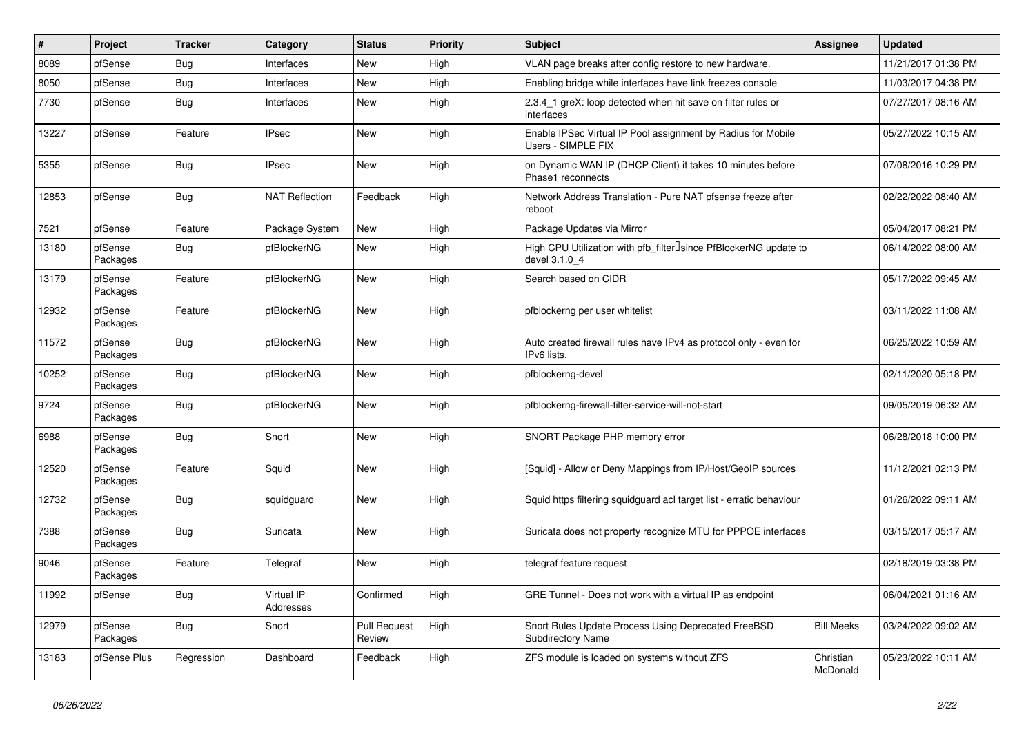| #     | Project             | <b>Tracker</b> | Category                | <b>Status</b>          | Priority | <b>Subject</b>                                                                     | Assignee              | <b>Updated</b>      |
|-------|---------------------|----------------|-------------------------|------------------------|----------|------------------------------------------------------------------------------------|-----------------------|---------------------|
| 8089  | pfSense             | Bug            | Interfaces              | New                    | High     | VLAN page breaks after config restore to new hardware.                             |                       | 11/21/2017 01:38 PM |
| 8050  | pfSense             | Bug            | Interfaces              | New                    | High     | Enabling bridge while interfaces have link freezes console                         |                       | 11/03/2017 04:38 PM |
| 7730  | pfSense             | Bug            | Interfaces              | New                    | High     | 2.3.4_1 greX: loop detected when hit save on filter rules or<br>interfaces         |                       | 07/27/2017 08:16 AM |
| 13227 | pfSense             | Feature        | <b>IPsec</b>            | <b>New</b>             | High     | Enable IPSec Virtual IP Pool assignment by Radius for Mobile<br>Users - SIMPLE FIX |                       | 05/27/2022 10:15 AM |
| 5355  | pfSense             | Bug            | <b>IPsec</b>            | New                    | High     | on Dynamic WAN IP (DHCP Client) it takes 10 minutes before<br>Phase1 reconnects    |                       | 07/08/2016 10:29 PM |
| 12853 | pfSense             | Bug            | <b>NAT Reflection</b>   | Feedback               | High     | Network Address Translation - Pure NAT pfsense freeze after<br>reboot              |                       | 02/22/2022 08:40 AM |
| 7521  | pfSense             | Feature        | Package System          | <b>New</b>             | High     | Package Updates via Mirror                                                         |                       | 05/04/2017 08:21 PM |
| 13180 | pfSense<br>Packages | Bug            | pfBlockerNG             | New                    | High     | High CPU Utilization with pfb_filter Isince PfBlockerNG update to<br>devel 3.1.0 4 |                       | 06/14/2022 08:00 AM |
| 13179 | pfSense<br>Packages | Feature        | pfBlockerNG             | New                    | High     | Search based on CIDR                                                               |                       | 05/17/2022 09:45 AM |
| 12932 | pfSense<br>Packages | Feature        | pfBlockerNG             | New                    | High     | pfblockerng per user whitelist                                                     |                       | 03/11/2022 11:08 AM |
| 11572 | pfSense<br>Packages | Bug            | pfBlockerNG             | <b>New</b>             | High     | Auto created firewall rules have IPv4 as protocol only - even for<br>IPv6 lists.   |                       | 06/25/2022 10:59 AM |
| 10252 | pfSense<br>Packages | Bug            | pfBlockerNG             | New                    | High     | pfblockerng-devel                                                                  |                       | 02/11/2020 05:18 PM |
| 9724  | pfSense<br>Packages | <b>Bug</b>     | pfBlockerNG             | <b>New</b>             | High     | pfblockerng-firewall-filter-service-will-not-start                                 |                       | 09/05/2019 06:32 AM |
| 6988  | pfSense<br>Packages | <b>Bug</b>     | Snort                   | New                    | High     | SNORT Package PHP memory error                                                     |                       | 06/28/2018 10:00 PM |
| 12520 | pfSense<br>Packages | Feature        | Squid                   | <b>New</b>             | High     | [Squid] - Allow or Deny Mappings from IP/Host/GeoIP sources                        |                       | 11/12/2021 02:13 PM |
| 12732 | pfSense<br>Packages | Bug            | squidguard              | New                    | High     | Squid https filtering squidguard acl target list - erratic behaviour               |                       | 01/26/2022 09:11 AM |
| 7388  | pfSense<br>Packages | <b>Bug</b>     | Suricata                | <b>New</b>             | High     | Suricata does not property recognize MTU for PPPOE interfaces                      |                       | 03/15/2017 05:17 AM |
| 9046  | pfSense<br>Packages | Feature        | Telegraf                | New                    | High     | telegraf feature request                                                           |                       | 02/18/2019 03:38 PM |
| 11992 | pfSense             | <b>Bug</b>     | Virtual IP<br>Addresses | Confirmed              | High     | GRE Tunnel - Does not work with a virtual IP as endpoint                           |                       | 06/04/2021 01:16 AM |
| 12979 | pfSense<br>Packages | Bug            | Snort                   | Pull Request<br>Review | High     | Snort Rules Update Process Using Deprecated FreeBSD<br>Subdirectory Name           | <b>Bill Meeks</b>     | 03/24/2022 09:02 AM |
| 13183 | pfSense Plus        | Regression     | Dashboard               | Feedback               | High     | ZFS module is loaded on systems without ZFS                                        | Christian<br>McDonald | 05/23/2022 10:11 AM |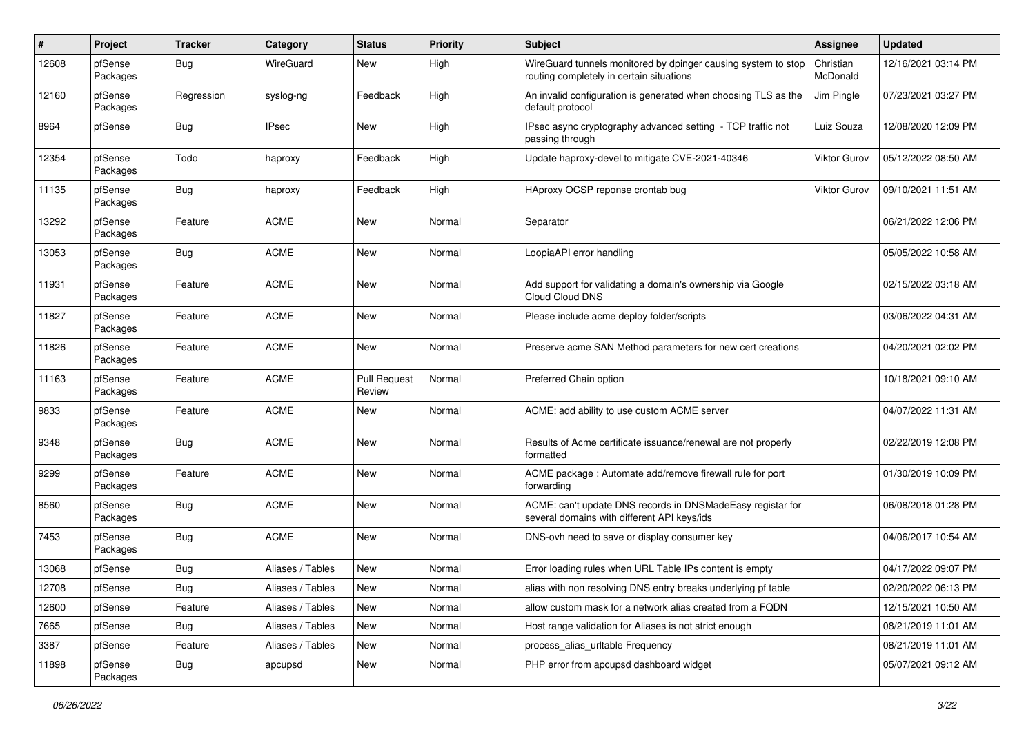| ∦     | Project             | <b>Tracker</b> | Category         | <b>Status</b>                 | <b>Priority</b> | Subject                                                                                                   | <b>Assignee</b>       | <b>Updated</b>      |
|-------|---------------------|----------------|------------------|-------------------------------|-----------------|-----------------------------------------------------------------------------------------------------------|-----------------------|---------------------|
| 12608 | pfSense<br>Packages | Bug            | WireGuard        | New                           | High            | WireGuard tunnels monitored by dpinger causing system to stop<br>routing completely in certain situations | Christian<br>McDonald | 12/16/2021 03:14 PM |
| 12160 | pfSense<br>Packages | Regression     | syslog-ng        | Feedback                      | High            | An invalid configuration is generated when choosing TLS as the<br>default protocol                        | Jim Pingle            | 07/23/2021 03:27 PM |
| 8964  | pfSense             | Bug            | <b>IPsec</b>     | <b>New</b>                    | High            | IPsec async cryptography advanced setting - TCP traffic not<br>passing through                            | Luiz Souza            | 12/08/2020 12:09 PM |
| 12354 | pfSense<br>Packages | Todo           | haproxy          | Feedback                      | High            | Update haproxy-devel to mitigate CVE-2021-40346                                                           | Viktor Gurov          | 05/12/2022 08:50 AM |
| 11135 | pfSense<br>Packages | Bug            | haproxy          | Feedback                      | High            | HAproxy OCSP reponse crontab bug                                                                          | Viktor Gurov          | 09/10/2021 11:51 AM |
| 13292 | pfSense<br>Packages | Feature        | <b>ACME</b>      | <b>New</b>                    | Normal          | Separator                                                                                                 |                       | 06/21/2022 12:06 PM |
| 13053 | pfSense<br>Packages | Bug            | <b>ACME</b>      | New                           | Normal          | LoopiaAPI error handling                                                                                  |                       | 05/05/2022 10:58 AM |
| 11931 | pfSense<br>Packages | Feature        | <b>ACME</b>      | New                           | Normal          | Add support for validating a domain's ownership via Google<br>Cloud Cloud DNS                             |                       | 02/15/2022 03:18 AM |
| 11827 | pfSense<br>Packages | Feature        | <b>ACME</b>      | <b>New</b>                    | Normal          | Please include acme deploy folder/scripts                                                                 |                       | 03/06/2022 04:31 AM |
| 11826 | pfSense<br>Packages | Feature        | <b>ACME</b>      | <b>New</b>                    | Normal          | Preserve acme SAN Method parameters for new cert creations                                                |                       | 04/20/2021 02:02 PM |
| 11163 | pfSense<br>Packages | Feature        | <b>ACME</b>      | <b>Pull Request</b><br>Review | Normal          | Preferred Chain option                                                                                    |                       | 10/18/2021 09:10 AM |
| 9833  | pfSense<br>Packages | Feature        | <b>ACME</b>      | New                           | Normal          | ACME: add ability to use custom ACME server                                                               |                       | 04/07/2022 11:31 AM |
| 9348  | pfSense<br>Packages | <b>Bug</b>     | <b>ACME</b>      | <b>New</b>                    | Normal          | Results of Acme certificate issuance/renewal are not properly<br>formatted                                |                       | 02/22/2019 12:08 PM |
| 9299  | pfSense<br>Packages | Feature        | <b>ACME</b>      | New                           | Normal          | ACME package : Automate add/remove firewall rule for port<br>forwarding                                   |                       | 01/30/2019 10:09 PM |
| 8560  | pfSense<br>Packages | Bug            | <b>ACME</b>      | New                           | Normal          | ACME: can't update DNS records in DNSMadeEasy registar for<br>several domains with different API keys/ids |                       | 06/08/2018 01:28 PM |
| 7453  | pfSense<br>Packages | Bug            | <b>ACME</b>      | <b>New</b>                    | Normal          | DNS-ovh need to save or display consumer key                                                              |                       | 04/06/2017 10:54 AM |
| 13068 | pfSense             | <b>Bug</b>     | Aliases / Tables | New                           | Normal          | Error loading rules when URL Table IPs content is empty                                                   |                       | 04/17/2022 09:07 PM |
| 12708 | pfSense             | Bug            | Aliases / Tables | New                           | Normal          | alias with non resolving DNS entry breaks underlying pf table                                             |                       | 02/20/2022 06:13 PM |
| 12600 | pfSense             | Feature        | Aliases / Tables | New                           | Normal          | allow custom mask for a network alias created from a FQDN                                                 |                       | 12/15/2021 10:50 AM |
| 7665  | pfSense             | Bug            | Aliases / Tables | New                           | Normal          | Host range validation for Aliases is not strict enough                                                    |                       | 08/21/2019 11:01 AM |
| 3387  | pfSense             | Feature        | Aliases / Tables | New                           | Normal          | process_alias_urltable Frequency                                                                          |                       | 08/21/2019 11:01 AM |
| 11898 | pfSense<br>Packages | <b>Bug</b>     | apcupsd          | New                           | Normal          | PHP error from apcupsd dashboard widget                                                                   |                       | 05/07/2021 09:12 AM |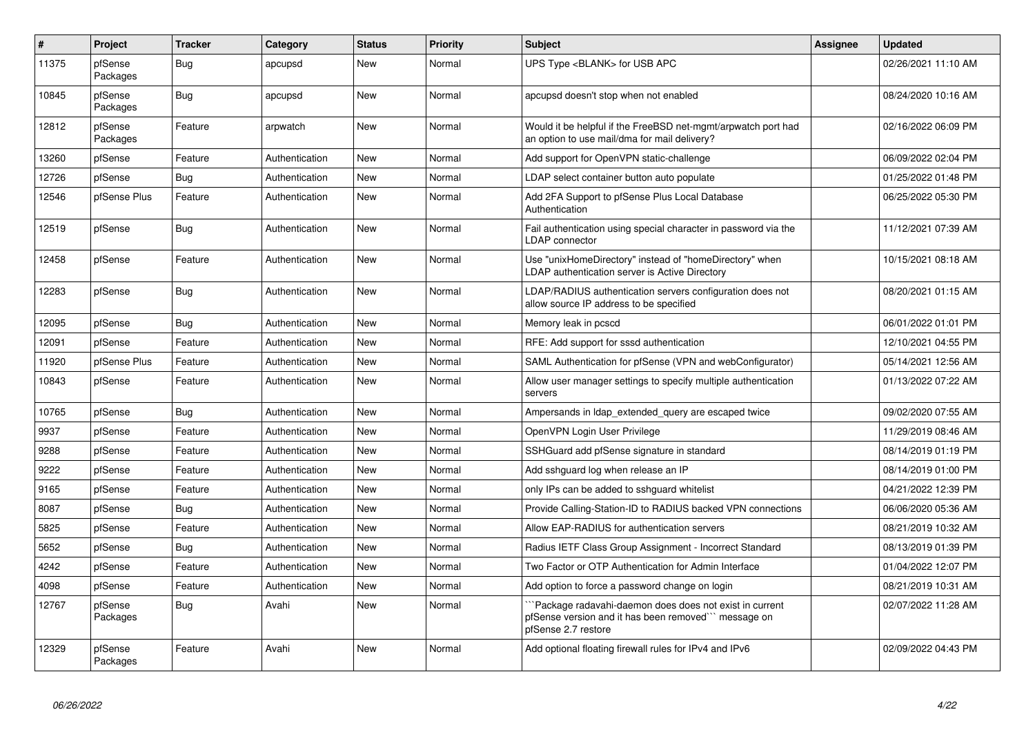| $\vert$ # | <b>Project</b>      | <b>Tracker</b> | Category       | <b>Status</b> | <b>Priority</b> | <b>Subject</b>                                                                                                                        | Assignee | <b>Updated</b>      |
|-----------|---------------------|----------------|----------------|---------------|-----------------|---------------------------------------------------------------------------------------------------------------------------------------|----------|---------------------|
| 11375     | pfSense<br>Packages | <b>Bug</b>     | apcupsd        | New           | Normal          | UPS Type <blank> for USB APC</blank>                                                                                                  |          | 02/26/2021 11:10 AM |
| 10845     | pfSense<br>Packages | <b>Bug</b>     | apcupsd        | New           | Normal          | apcupsd doesn't stop when not enabled                                                                                                 |          | 08/24/2020 10:16 AM |
| 12812     | pfSense<br>Packages | Feature        | arpwatch       | New           | Normal          | Would it be helpful if the FreeBSD net-mgmt/arpwatch port had<br>an option to use mail/dma for mail delivery?                         |          | 02/16/2022 06:09 PM |
| 13260     | pfSense             | Feature        | Authentication | New           | Normal          | Add support for OpenVPN static-challenge                                                                                              |          | 06/09/2022 02:04 PM |
| 12726     | pfSense             | Bug            | Authentication | New           | Normal          | LDAP select container button auto populate                                                                                            |          | 01/25/2022 01:48 PM |
| 12546     | pfSense Plus        | Feature        | Authentication | New           | Normal          | Add 2FA Support to pfSense Plus Local Database<br>Authentication                                                                      |          | 06/25/2022 05:30 PM |
| 12519     | pfSense             | <b>Bug</b>     | Authentication | New           | Normal          | Fail authentication using special character in password via the<br><b>LDAP</b> connector                                              |          | 11/12/2021 07:39 AM |
| 12458     | pfSense             | Feature        | Authentication | New           | Normal          | Use "unixHomeDirectory" instead of "homeDirectory" when<br>LDAP authentication server is Active Directory                             |          | 10/15/2021 08:18 AM |
| 12283     | pfSense             | <b>Bug</b>     | Authentication | <b>New</b>    | Normal          | LDAP/RADIUS authentication servers configuration does not<br>allow source IP address to be specified                                  |          | 08/20/2021 01:15 AM |
| 12095     | pfSense             | <b>Bug</b>     | Authentication | New           | Normal          | Memory leak in pcscd                                                                                                                  |          | 06/01/2022 01:01 PM |
| 12091     | pfSense             | Feature        | Authentication | New           | Normal          | RFE: Add support for sssd authentication                                                                                              |          | 12/10/2021 04:55 PM |
| 11920     | pfSense Plus        | Feature        | Authentication | New           | Normal          | SAML Authentication for pfSense (VPN and webConfigurator)                                                                             |          | 05/14/2021 12:56 AM |
| 10843     | pfSense             | Feature        | Authentication | New           | Normal          | Allow user manager settings to specify multiple authentication<br>servers                                                             |          | 01/13/2022 07:22 AM |
| 10765     | pfSense             | Bug            | Authentication | New           | Normal          | Ampersands in Idap extended query are escaped twice                                                                                   |          | 09/02/2020 07:55 AM |
| 9937      | pfSense             | Feature        | Authentication | New           | Normal          | OpenVPN Login User Privilege                                                                                                          |          | 11/29/2019 08:46 AM |
| 9288      | pfSense             | Feature        | Authentication | New           | Normal          | SSHGuard add pfSense signature in standard                                                                                            |          | 08/14/2019 01:19 PM |
| 9222      | pfSense             | Feature        | Authentication | New           | Normal          | Add sshguard log when release an IP                                                                                                   |          | 08/14/2019 01:00 PM |
| 9165      | pfSense             | Feature        | Authentication | New           | Normal          | only IPs can be added to sshguard whitelist                                                                                           |          | 04/21/2022 12:39 PM |
| 8087      | pfSense             | <b>Bug</b>     | Authentication | New           | Normal          | Provide Calling-Station-ID to RADIUS backed VPN connections                                                                           |          | 06/06/2020 05:36 AM |
| 5825      | pfSense             | Feature        | Authentication | New           | Normal          | Allow EAP-RADIUS for authentication servers                                                                                           |          | 08/21/2019 10:32 AM |
| 5652      | pfSense             | <b>Bug</b>     | Authentication | New           | Normal          | Radius IETF Class Group Assignment - Incorrect Standard                                                                               |          | 08/13/2019 01:39 PM |
| 4242      | pfSense             | Feature        | Authentication | New           | Normal          | Two Factor or OTP Authentication for Admin Interface                                                                                  |          | 01/04/2022 12:07 PM |
| 4098      | pfSense             | Feature        | Authentication | New           | Normal          | Add option to force a password change on login                                                                                        |          | 08/21/2019 10:31 AM |
| 12767     | pfSense<br>Packages | <b>Bug</b>     | Avahi          | <b>New</b>    | Normal          | `Package radavahi-daemon does does not exist in current<br>pfSense version and it has been removed" message on<br>pfSense 2.7 restore |          | 02/07/2022 11:28 AM |
| 12329     | pfSense<br>Packages | Feature        | Avahi          | <b>New</b>    | Normal          | Add optional floating firewall rules for IPv4 and IPv6                                                                                |          | 02/09/2022 04:43 PM |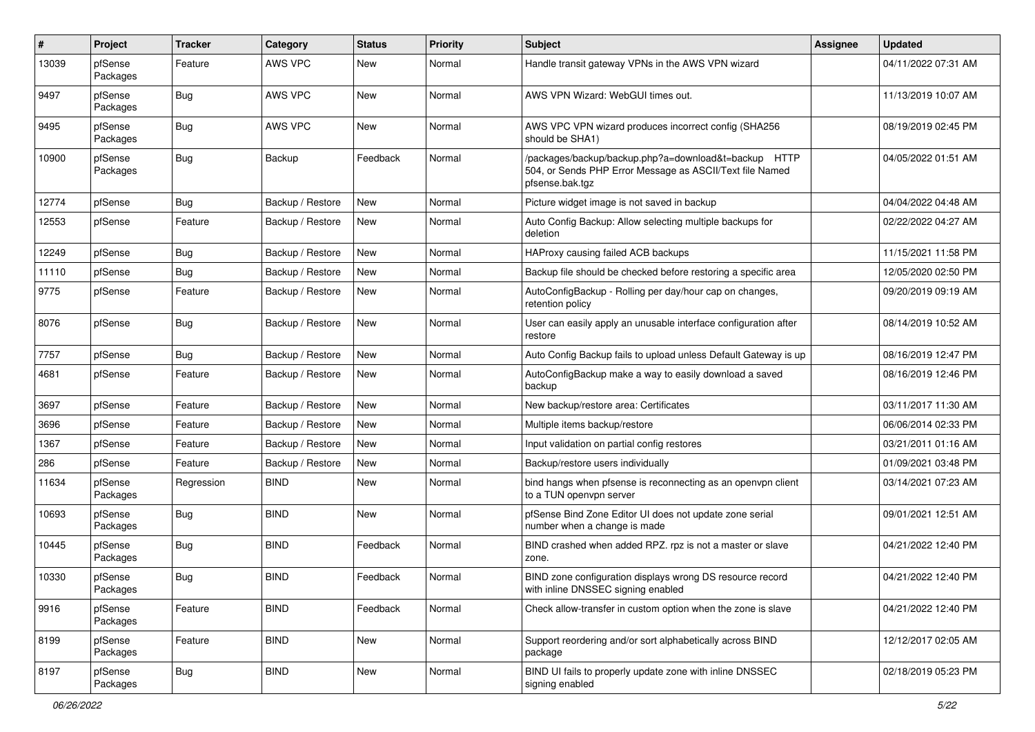| #     | Project             | <b>Tracker</b> | Category         | <b>Status</b> | <b>Priority</b> | <b>Subject</b>                                                                                                                      | <b>Assignee</b> | <b>Updated</b>      |
|-------|---------------------|----------------|------------------|---------------|-----------------|-------------------------------------------------------------------------------------------------------------------------------------|-----------------|---------------------|
| 13039 | pfSense<br>Packages | Feature        | AWS VPC          | New           | Normal          | Handle transit gateway VPNs in the AWS VPN wizard                                                                                   |                 | 04/11/2022 07:31 AM |
| 9497  | pfSense<br>Packages | Bug            | <b>AWS VPC</b>   | New           | Normal          | AWS VPN Wizard: WebGUI times out.                                                                                                   |                 | 11/13/2019 10:07 AM |
| 9495  | pfSense<br>Packages | <b>Bug</b>     | AWS VPC          | <b>New</b>    | Normal          | AWS VPC VPN wizard produces incorrect config (SHA256<br>should be SHA1)                                                             |                 | 08/19/2019 02:45 PM |
| 10900 | pfSense<br>Packages | Bug            | Backup           | Feedback      | Normal          | /packages/backup/backup.php?a=download&t=backup HTTP<br>504, or Sends PHP Error Message as ASCII/Text file Named<br>pfsense.bak.tgz |                 | 04/05/2022 01:51 AM |
| 12774 | pfSense             | Bug            | Backup / Restore | <b>New</b>    | Normal          | Picture widget image is not saved in backup                                                                                         |                 | 04/04/2022 04:48 AM |
| 12553 | pfSense             | Feature        | Backup / Restore | New           | Normal          | Auto Config Backup: Allow selecting multiple backups for<br>deletion                                                                |                 | 02/22/2022 04:27 AM |
| 12249 | pfSense             | Bug            | Backup / Restore | New           | Normal          | HAProxy causing failed ACB backups                                                                                                  |                 | 11/15/2021 11:58 PM |
| 11110 | pfSense             | Bug            | Backup / Restore | New           | Normal          | Backup file should be checked before restoring a specific area                                                                      |                 | 12/05/2020 02:50 PM |
| 9775  | pfSense             | Feature        | Backup / Restore | New           | Normal          | AutoConfigBackup - Rolling per day/hour cap on changes,<br>retention policy                                                         |                 | 09/20/2019 09:19 AM |
| 8076  | pfSense             | Bug            | Backup / Restore | New           | Normal          | User can easily apply an unusable interface configuration after<br>restore                                                          |                 | 08/14/2019 10:52 AM |
| 7757  | pfSense             | Bug            | Backup / Restore | New           | Normal          | Auto Config Backup fails to upload unless Default Gateway is up                                                                     |                 | 08/16/2019 12:47 PM |
| 4681  | pfSense             | Feature        | Backup / Restore | New           | Normal          | AutoConfigBackup make a way to easily download a saved<br>backup                                                                    |                 | 08/16/2019 12:46 PM |
| 3697  | pfSense             | Feature        | Backup / Restore | New           | Normal          | New backup/restore area: Certificates                                                                                               |                 | 03/11/2017 11:30 AM |
| 3696  | pfSense             | Feature        | Backup / Restore | New           | Normal          | Multiple items backup/restore                                                                                                       |                 | 06/06/2014 02:33 PM |
| 1367  | pfSense             | Feature        | Backup / Restore | New           | Normal          | Input validation on partial config restores                                                                                         |                 | 03/21/2011 01:16 AM |
| 286   | pfSense             | Feature        | Backup / Restore | New           | Normal          | Backup/restore users individually                                                                                                   |                 | 01/09/2021 03:48 PM |
| 11634 | pfSense<br>Packages | Regression     | <b>BIND</b>      | New           | Normal          | bind hangs when pfsense is reconnecting as an openvpn client<br>to a TUN openvpn server                                             |                 | 03/14/2021 07:23 AM |
| 10693 | pfSense<br>Packages | Bug            | <b>BIND</b>      | New           | Normal          | pfSense Bind Zone Editor UI does not update zone serial<br>number when a change is made                                             |                 | 09/01/2021 12:51 AM |
| 10445 | pfSense<br>Packages | Bug            | <b>BIND</b>      | Feedback      | Normal          | BIND crashed when added RPZ. rpz is not a master or slave<br>zone.                                                                  |                 | 04/21/2022 12:40 PM |
| 10330 | pfSense<br>Packages | Bug            | <b>BIND</b>      | Feedback      | Normal          | BIND zone configuration displays wrong DS resource record<br>with inline DNSSEC signing enabled                                     |                 | 04/21/2022 12:40 PM |
| 9916  | pfSense<br>Packages | Feature        | <b>BIND</b>      | Feedback      | Normal          | Check allow-transfer in custom option when the zone is slave                                                                        |                 | 04/21/2022 12:40 PM |
| 8199  | pfSense<br>Packages | Feature        | <b>BIND</b>      | New           | Normal          | Support reordering and/or sort alphabetically across BIND<br>package                                                                |                 | 12/12/2017 02:05 AM |
| 8197  | pfSense<br>Packages | <b>Bug</b>     | <b>BIND</b>      | New           | Normal          | BIND UI fails to properly update zone with inline DNSSEC<br>signing enabled                                                         |                 | 02/18/2019 05:23 PM |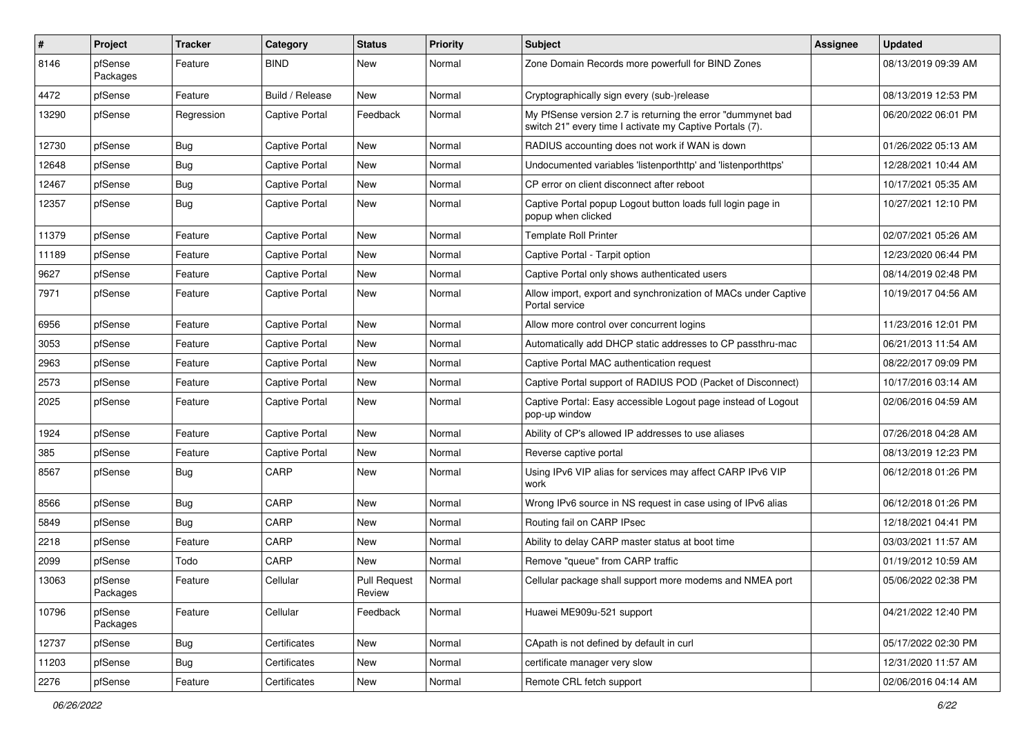| #     | Project             | <b>Tracker</b> | Category              | <b>Status</b>          | <b>Priority</b> | Subject                                                                                                                 | <b>Assignee</b> | <b>Updated</b>      |
|-------|---------------------|----------------|-----------------------|------------------------|-----------------|-------------------------------------------------------------------------------------------------------------------------|-----------------|---------------------|
| 8146  | pfSense<br>Packages | Feature        | <b>BIND</b>           | New                    | Normal          | Zone Domain Records more powerfull for BIND Zones                                                                       |                 | 08/13/2019 09:39 AM |
| 4472  | pfSense             | Feature        | Build / Release       | New                    | Normal          | Cryptographically sign every (sub-)release                                                                              |                 | 08/13/2019 12:53 PM |
| 13290 | pfSense             | Regression     | <b>Captive Portal</b> | Feedback               | Normal          | My PfSense version 2.7 is returning the error "dummynet bad<br>switch 21" every time I activate my Captive Portals (7). |                 | 06/20/2022 06:01 PM |
| 12730 | pfSense             | Bug            | Captive Portal        | New                    | Normal          | RADIUS accounting does not work if WAN is down                                                                          |                 | 01/26/2022 05:13 AM |
| 12648 | pfSense             | Bug            | <b>Captive Portal</b> | New                    | Normal          | Undocumented variables 'listenporthttp' and 'listenporthttps'                                                           |                 | 12/28/2021 10:44 AM |
| 12467 | pfSense             | Bug            | <b>Captive Portal</b> | New                    | Normal          | CP error on client disconnect after reboot                                                                              |                 | 10/17/2021 05:35 AM |
| 12357 | pfSense             | Bug            | <b>Captive Portal</b> | New                    | Normal          | Captive Portal popup Logout button loads full login page in<br>popup when clicked                                       |                 | 10/27/2021 12:10 PM |
| 11379 | pfSense             | Feature        | <b>Captive Portal</b> | New                    | Normal          | <b>Template Roll Printer</b>                                                                                            |                 | 02/07/2021 05:26 AM |
| 11189 | pfSense             | Feature        | <b>Captive Portal</b> | New                    | Normal          | Captive Portal - Tarpit option                                                                                          |                 | 12/23/2020 06:44 PM |
| 9627  | pfSense             | Feature        | <b>Captive Portal</b> | New                    | Normal          | Captive Portal only shows authenticated users                                                                           |                 | 08/14/2019 02:48 PM |
| 7971  | pfSense             | Feature        | <b>Captive Portal</b> | New                    | Normal          | Allow import, export and synchronization of MACs under Captive<br>Portal service                                        |                 | 10/19/2017 04:56 AM |
| 6956  | pfSense             | Feature        | <b>Captive Portal</b> | New                    | Normal          | Allow more control over concurrent logins                                                                               |                 | 11/23/2016 12:01 PM |
| 3053  | pfSense             | Feature        | <b>Captive Portal</b> | New                    | Normal          | Automatically add DHCP static addresses to CP passthru-mac                                                              |                 | 06/21/2013 11:54 AM |
| 2963  | pfSense             | Feature        | <b>Captive Portal</b> | New                    | Normal          | Captive Portal MAC authentication request                                                                               |                 | 08/22/2017 09:09 PM |
| 2573  | pfSense             | Feature        | <b>Captive Portal</b> | New                    | Normal          | Captive Portal support of RADIUS POD (Packet of Disconnect)                                                             |                 | 10/17/2016 03:14 AM |
| 2025  | pfSense             | Feature        | <b>Captive Portal</b> | New                    | Normal          | Captive Portal: Easy accessible Logout page instead of Logout<br>pop-up window                                          |                 | 02/06/2016 04:59 AM |
| 1924  | pfSense             | Feature        | Captive Portal        | <b>New</b>             | Normal          | Ability of CP's allowed IP addresses to use aliases                                                                     |                 | 07/26/2018 04:28 AM |
| 385   | pfSense             | Feature        | <b>Captive Portal</b> | New                    | Normal          | Reverse captive portal                                                                                                  |                 | 08/13/2019 12:23 PM |
| 8567  | pfSense             | Bug            | CARP                  | New                    | Normal          | Using IPv6 VIP alias for services may affect CARP IPv6 VIP<br>work                                                      |                 | 06/12/2018 01:26 PM |
| 8566  | pfSense             | Bug            | CARP                  | New                    | Normal          | Wrong IPv6 source in NS request in case using of IPv6 alias                                                             |                 | 06/12/2018 01:26 PM |
| 5849  | pfSense             | Bug            | CARP                  | New                    | Normal          | Routing fail on CARP IPsec                                                                                              |                 | 12/18/2021 04:41 PM |
| 2218  | pfSense             | Feature        | CARP                  | New                    | Normal          | Ability to delay CARP master status at boot time                                                                        |                 | 03/03/2021 11:57 AM |
| 2099  | pfSense             | Todo           | CARP                  | New                    | Normal          | Remove "queue" from CARP traffic                                                                                        |                 | 01/19/2012 10:59 AM |
| 13063 | pfSense<br>Packages | Feature        | Cellular              | Pull Request<br>Review | Normal          | Cellular package shall support more modems and NMEA port                                                                |                 | 05/06/2022 02:38 PM |
| 10796 | pfSense<br>Packages | Feature        | Cellular              | Feedback               | Normal          | Huawei ME909u-521 support                                                                                               |                 | 04/21/2022 12:40 PM |
| 12737 | pfSense             | Bug            | Certificates          | <b>New</b>             | Normal          | CApath is not defined by default in curl                                                                                |                 | 05/17/2022 02:30 PM |
| 11203 | pfSense             | Bug            | Certificates          | New                    | Normal          | certificate manager very slow                                                                                           |                 | 12/31/2020 11:57 AM |
| 2276  | pfSense             | Feature        | Certificates          | New                    | Normal          | Remote CRL fetch support                                                                                                |                 | 02/06/2016 04:14 AM |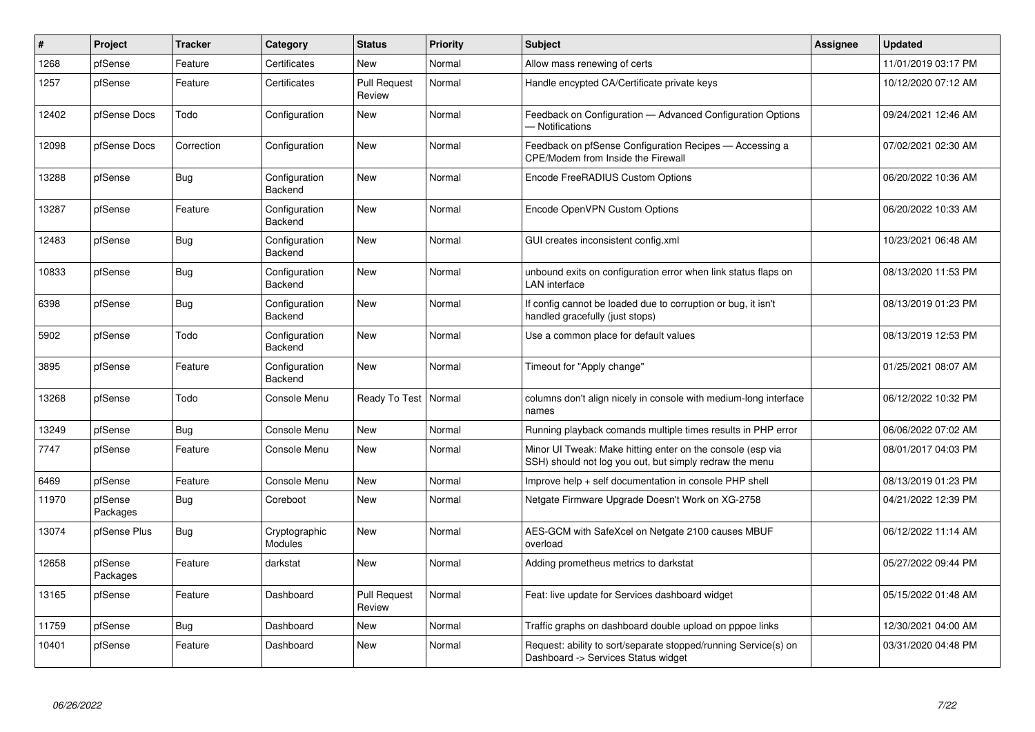| #     | Project             | <b>Tracker</b> | Category                 | <b>Status</b>                 | <b>Priority</b> | <b>Subject</b>                                                                                                        | <b>Assignee</b> | <b>Updated</b>      |
|-------|---------------------|----------------|--------------------------|-------------------------------|-----------------|-----------------------------------------------------------------------------------------------------------------------|-----------------|---------------------|
| 1268  | pfSense             | Feature        | Certificates             | <b>New</b>                    | Normal          | Allow mass renewing of certs                                                                                          |                 | 11/01/2019 03:17 PM |
| 1257  | pfSense             | Feature        | Certificates             | Pull Request<br>Review        | Normal          | Handle encypted CA/Certificate private keys                                                                           |                 | 10/12/2020 07:12 AM |
| 12402 | pfSense Docs        | Todo           | Configuration            | New                           | Normal          | Feedback on Configuration - Advanced Configuration Options<br>- Notifications                                         |                 | 09/24/2021 12:46 AM |
| 12098 | pfSense Docs        | Correction     | Configuration            | New                           | Normal          | Feedback on pfSense Configuration Recipes - Accessing a<br><b>CPE/Modem from Inside the Firewall</b>                  |                 | 07/02/2021 02:30 AM |
| 13288 | pfSense             | <b>Bug</b>     | Configuration<br>Backend | <b>New</b>                    | Normal          | Encode FreeRADIUS Custom Options                                                                                      |                 | 06/20/2022 10:36 AM |
| 13287 | pfSense             | Feature        | Configuration<br>Backend | <b>New</b>                    | Normal          | Encode OpenVPN Custom Options                                                                                         |                 | 06/20/2022 10:33 AM |
| 12483 | pfSense             | Bug            | Configuration<br>Backend | <b>New</b>                    | Normal          | GUI creates inconsistent config.xml                                                                                   |                 | 10/23/2021 06:48 AM |
| 10833 | pfSense             | <b>Bug</b>     | Configuration<br>Backend | New                           | Normal          | unbound exits on configuration error when link status flaps on<br><b>LAN</b> interface                                |                 | 08/13/2020 11:53 PM |
| 6398  | pfSense             | Bug            | Configuration<br>Backend | <b>New</b>                    | Normal          | If config cannot be loaded due to corruption or bug, it isn't<br>handled gracefully (just stops)                      |                 | 08/13/2019 01:23 PM |
| 5902  | pfSense             | Todo           | Configuration<br>Backend | <b>New</b>                    | Normal          | Use a common place for default values                                                                                 |                 | 08/13/2019 12:53 PM |
| 3895  | pfSense             | Feature        | Configuration<br>Backend | <b>New</b>                    | Normal          | Timeout for "Apply change"                                                                                            |                 | 01/25/2021 08:07 AM |
| 13268 | pfSense             | Todo           | Console Menu             | Ready To Test                 | Normal          | columns don't align nicely in console with medium-long interface<br>names                                             |                 | 06/12/2022 10:32 PM |
| 13249 | pfSense             | Bug            | Console Menu             | New                           | Normal          | Running playback comands multiple times results in PHP error                                                          |                 | 06/06/2022 07:02 AM |
| 7747  | pfSense             | Feature        | Console Menu             | New                           | Normal          | Minor UI Tweak: Make hitting enter on the console (esp via<br>SSH) should not log you out, but simply redraw the menu |                 | 08/01/2017 04:03 PM |
| 6469  | pfSense             | Feature        | Console Menu             | New                           | Normal          | Improve help + self documentation in console PHP shell                                                                |                 | 08/13/2019 01:23 PM |
| 11970 | pfSense<br>Packages | Bug            | Coreboot                 | <b>New</b>                    | Normal          | Netgate Firmware Upgrade Doesn't Work on XG-2758                                                                      |                 | 04/21/2022 12:39 PM |
| 13074 | pfSense Plus        | Bug            | Cryptographic<br>Modules | New                           | Normal          | AES-GCM with SafeXcel on Netgate 2100 causes MBUF<br>overload                                                         |                 | 06/12/2022 11:14 AM |
| 12658 | pfSense<br>Packages | Feature        | darkstat                 | <b>New</b>                    | Normal          | Adding prometheus metrics to darkstat                                                                                 |                 | 05/27/2022 09:44 PM |
| 13165 | pfSense             | Feature        | Dashboard                | <b>Pull Request</b><br>Review | Normal          | Feat: live update for Services dashboard widget                                                                       |                 | 05/15/2022 01:48 AM |
| 11759 | pfSense             | <b>Bug</b>     | Dashboard                | New                           | Normal          | Traffic graphs on dashboard double upload on pppoe links                                                              |                 | 12/30/2021 04:00 AM |
| 10401 | pfSense             | Feature        | Dashboard                | <b>New</b>                    | Normal          | Request: ability to sort/separate stopped/running Service(s) on<br>Dashboard -> Services Status widget                |                 | 03/31/2020 04:48 PM |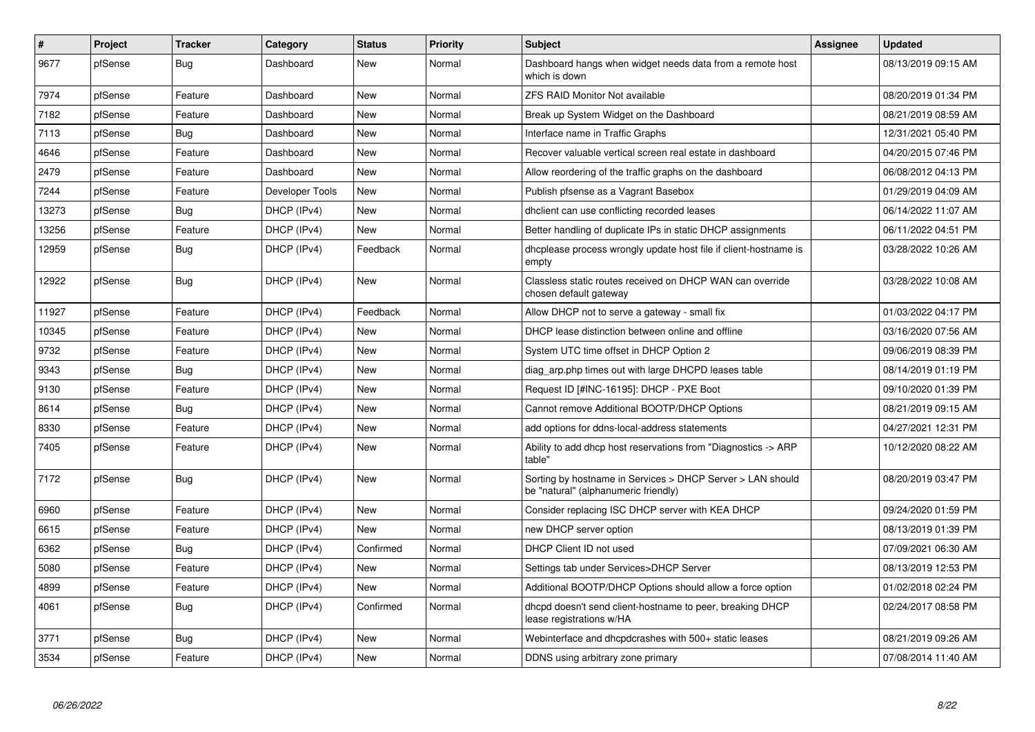| $\vert$ # | Project | <b>Tracker</b> | Category        | <b>Status</b> | <b>Priority</b> | <b>Subject</b>                                                                                     | <b>Assignee</b> | <b>Updated</b>      |
|-----------|---------|----------------|-----------------|---------------|-----------------|----------------------------------------------------------------------------------------------------|-----------------|---------------------|
| 9677      | pfSense | Bug            | Dashboard       | <b>New</b>    | Normal          | Dashboard hangs when widget needs data from a remote host<br>which is down                         |                 | 08/13/2019 09:15 AM |
| 7974      | pfSense | Feature        | Dashboard       | <b>New</b>    | Normal          | <b>ZFS RAID Monitor Not available</b>                                                              |                 | 08/20/2019 01:34 PM |
| 7182      | pfSense | Feature        | Dashboard       | <b>New</b>    | Normal          | Break up System Widget on the Dashboard                                                            |                 | 08/21/2019 08:59 AM |
| 7113      | pfSense | Bug            | Dashboard       | New           | Normal          | Interface name in Traffic Graphs                                                                   |                 | 12/31/2021 05:40 PM |
| 4646      | pfSense | Feature        | Dashboard       | New           | Normal          | Recover valuable vertical screen real estate in dashboard                                          |                 | 04/20/2015 07:46 PM |
| 2479      | pfSense | Feature        | Dashboard       | <b>New</b>    | Normal          | Allow reordering of the traffic graphs on the dashboard                                            |                 | 06/08/2012 04:13 PM |
| 7244      | pfSense | Feature        | Developer Tools | <b>New</b>    | Normal          | Publish pfsense as a Vagrant Basebox                                                               |                 | 01/29/2019 04:09 AM |
| 13273     | pfSense | <b>Bug</b>     | DHCP (IPv4)     | New           | Normal          | dholient can use conflicting recorded leases                                                       |                 | 06/14/2022 11:07 AM |
| 13256     | pfSense | Feature        | DHCP (IPv4)     | <b>New</b>    | Normal          | Better handling of duplicate IPs in static DHCP assignments                                        |                 | 06/11/2022 04:51 PM |
| 12959     | pfSense | <b>Bug</b>     | DHCP (IPv4)     | Feedback      | Normal          | dhoplease process wrongly update host file if client-hostname is<br>empty                          |                 | 03/28/2022 10:26 AM |
| 12922     | pfSense | <b>Bug</b>     | DHCP (IPv4)     | New           | Normal          | Classless static routes received on DHCP WAN can override<br>chosen default gateway                |                 | 03/28/2022 10:08 AM |
| 11927     | pfSense | Feature        | DHCP (IPv4)     | Feedback      | Normal          | Allow DHCP not to serve a gateway - small fix                                                      |                 | 01/03/2022 04:17 PM |
| 10345     | pfSense | Feature        | DHCP (IPv4)     | New           | Normal          | DHCP lease distinction between online and offline                                                  |                 | 03/16/2020 07:56 AM |
| 9732      | pfSense | Feature        | DHCP (IPv4)     | New           | Normal          | System UTC time offset in DHCP Option 2                                                            |                 | 09/06/2019 08:39 PM |
| 9343      | pfSense | Bug            | DHCP (IPv4)     | New           | Normal          | diag arp.php times out with large DHCPD leases table                                               |                 | 08/14/2019 01:19 PM |
| 9130      | pfSense | Feature        | DHCP (IPv4)     | New           | Normal          | Request ID [#INC-16195]: DHCP - PXE Boot                                                           |                 | 09/10/2020 01:39 PM |
| 8614      | pfSense | Bug            | DHCP (IPv4)     | <b>New</b>    | Normal          | Cannot remove Additional BOOTP/DHCP Options                                                        |                 | 08/21/2019 09:15 AM |
| 8330      | pfSense | Feature        | DHCP (IPv4)     | <b>New</b>    | Normal          | add options for ddns-local-address statements                                                      |                 | 04/27/2021 12:31 PM |
| 7405      | pfSense | Feature        | DHCP (IPv4)     | New           | Normal          | Ability to add dhcp host reservations from "Diagnostics -> ARP<br>table"                           |                 | 10/12/2020 08:22 AM |
| 7172      | pfSense | <b>Bug</b>     | DHCP (IPv4)     | <b>New</b>    | Normal          | Sorting by hostname in Services > DHCP Server > LAN should<br>be "natural" (alphanumeric friendly) |                 | 08/20/2019 03:47 PM |
| 6960      | pfSense | Feature        | DHCP (IPv4)     | New           | Normal          | Consider replacing ISC DHCP server with KEA DHCP                                                   |                 | 09/24/2020 01:59 PM |
| 6615      | pfSense | Feature        | DHCP (IPv4)     | <b>New</b>    | Normal          | new DHCP server option                                                                             |                 | 08/13/2019 01:39 PM |
| 6362      | pfSense | Bug            | DHCP (IPv4)     | Confirmed     | Normal          | DHCP Client ID not used                                                                            |                 | 07/09/2021 06:30 AM |
| 5080      | pfSense | Feature        | DHCP (IPv4)     | <b>New</b>    | Normal          | Settings tab under Services>DHCP Server                                                            |                 | 08/13/2019 12:53 PM |
| 4899      | pfSense | Feature        | DHCP (IPv4)     | <b>New</b>    | Normal          | Additional BOOTP/DHCP Options should allow a force option                                          |                 | 01/02/2018 02:24 PM |
| 4061      | pfSense | Bug            | DHCP (IPv4)     | Confirmed     | Normal          | dhcpd doesn't send client-hostname to peer, breaking DHCP<br>lease registrations w/HA              |                 | 02/24/2017 08:58 PM |
| 3771      | pfSense | Bug            | DHCP (IPv4)     | <b>New</b>    | Normal          | Webinterface and dhcpdcrashes with 500+ static leases                                              |                 | 08/21/2019 09:26 AM |
| 3534      | pfSense | Feature        | DHCP (IPv4)     | <b>New</b>    | Normal          | DDNS using arbitrary zone primary                                                                  |                 | 07/08/2014 11:40 AM |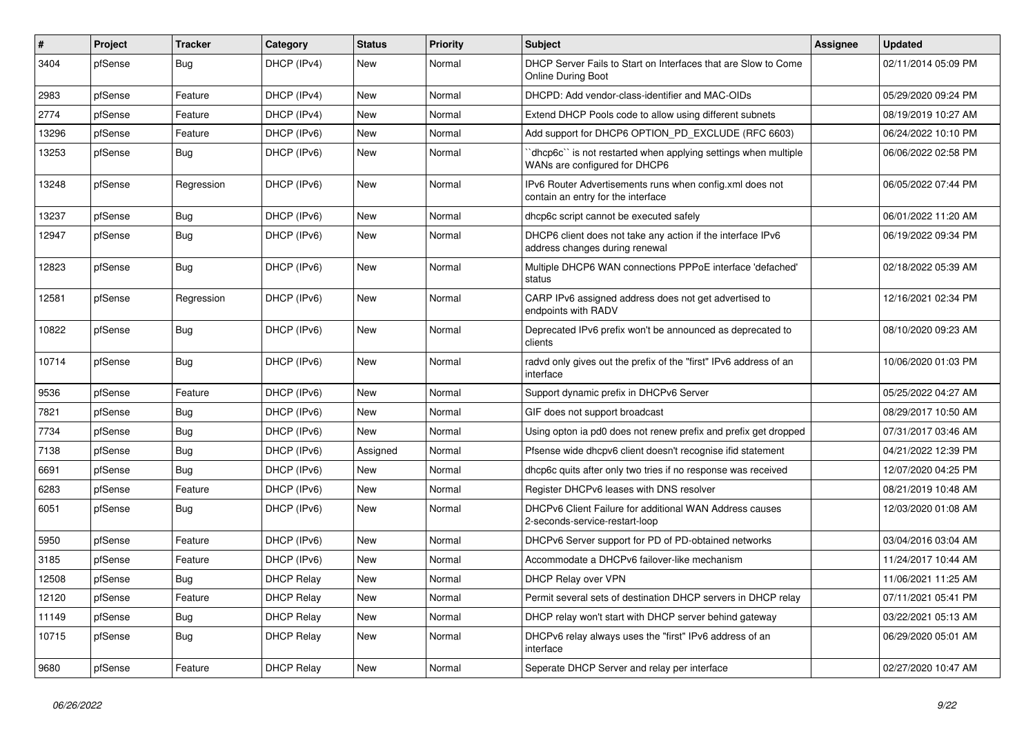| #     | Project | <b>Tracker</b> | Category          | <b>Status</b> | <b>Priority</b> | <b>Subject</b>                                                                                  | Assignee | <b>Updated</b>      |
|-------|---------|----------------|-------------------|---------------|-----------------|-------------------------------------------------------------------------------------------------|----------|---------------------|
| 3404  | pfSense | <b>Bug</b>     | DHCP (IPv4)       | New           | Normal          | DHCP Server Fails to Start on Interfaces that are Slow to Come<br><b>Online During Boot</b>     |          | 02/11/2014 05:09 PM |
| 2983  | pfSense | Feature        | DHCP (IPv4)       | New           | Normal          | DHCPD: Add vendor-class-identifier and MAC-OIDs                                                 |          | 05/29/2020 09:24 PM |
| 2774  | pfSense | Feature        | DHCP (IPv4)       | <b>New</b>    | Normal          | Extend DHCP Pools code to allow using different subnets                                         |          | 08/19/2019 10:27 AM |
| 13296 | pfSense | Feature        | DHCP (IPv6)       | New           | Normal          | Add support for DHCP6 OPTION_PD_EXCLUDE (RFC 6603)                                              |          | 06/24/2022 10:10 PM |
| 13253 | pfSense | Bug            | DHCP (IPv6)       | New           | Normal          | dhcp6c`` is not restarted when applying settings when multiple<br>WANs are configured for DHCP6 |          | 06/06/2022 02:58 PM |
| 13248 | pfSense | Regression     | DHCP (IPv6)       | New           | Normal          | IPv6 Router Advertisements runs when config.xml does not<br>contain an entry for the interface  |          | 06/05/2022 07:44 PM |
| 13237 | pfSense | Bug            | DHCP (IPv6)       | New           | Normal          | dhcp6c script cannot be executed safely                                                         |          | 06/01/2022 11:20 AM |
| 12947 | pfSense | Bug            | DHCP (IPv6)       | New           | Normal          | DHCP6 client does not take any action if the interface IPv6<br>address changes during renewal   |          | 06/19/2022 09:34 PM |
| 12823 | pfSense | Bug            | DHCP (IPv6)       | New           | Normal          | Multiple DHCP6 WAN connections PPPoE interface 'defached'<br>status                             |          | 02/18/2022 05:39 AM |
| 12581 | pfSense | Regression     | DHCP (IPv6)       | <b>New</b>    | Normal          | CARP IPv6 assigned address does not get advertised to<br>endpoints with RADV                    |          | 12/16/2021 02:34 PM |
| 10822 | pfSense | Bug            | DHCP (IPv6)       | New           | Normal          | Deprecated IPv6 prefix won't be announced as deprecated to<br>clients                           |          | 08/10/2020 09:23 AM |
| 10714 | pfSense | Bug            | DHCP (IPv6)       | New           | Normal          | radvd only gives out the prefix of the "first" IPv6 address of an<br>interface                  |          | 10/06/2020 01:03 PM |
| 9536  | pfSense | Feature        | DHCP (IPv6)       | <b>New</b>    | Normal          | Support dynamic prefix in DHCPv6 Server                                                         |          | 05/25/2022 04:27 AM |
| 7821  | pfSense | Bug            | DHCP (IPv6)       | New           | Normal          | GIF does not support broadcast                                                                  |          | 08/29/2017 10:50 AM |
| 7734  | pfSense | Bug            | DHCP (IPv6)       | New           | Normal          | Using opton ia pd0 does not renew prefix and prefix get dropped                                 |          | 07/31/2017 03:46 AM |
| 7138  | pfSense | <b>Bug</b>     | DHCP (IPv6)       | Assigned      | Normal          | Pfsense wide dhcpv6 client doesn't recognise ifid statement                                     |          | 04/21/2022 12:39 PM |
| 6691  | pfSense | <b>Bug</b>     | DHCP (IPv6)       | New           | Normal          | dhcp6c quits after only two tries if no response was received                                   |          | 12/07/2020 04:25 PM |
| 6283  | pfSense | Feature        | DHCP (IPv6)       | New           | Normal          | Register DHCPv6 leases with DNS resolver                                                        |          | 08/21/2019 10:48 AM |
| 6051  | pfSense | <b>Bug</b>     | DHCP (IPv6)       | New           | Normal          | DHCPv6 Client Failure for additional WAN Address causes<br>2-seconds-service-restart-loop       |          | 12/03/2020 01:08 AM |
| 5950  | pfSense | Feature        | DHCP (IPv6)       | <b>New</b>    | Normal          | DHCPv6 Server support for PD of PD-obtained networks                                            |          | 03/04/2016 03:04 AM |
| 3185  | pfSense | Feature        | DHCP (IPv6)       | New           | Normal          | Accommodate a DHCPv6 failover-like mechanism                                                    |          | 11/24/2017 10:44 AM |
| 12508 | pfSense | Bug            | <b>DHCP Relay</b> | <b>New</b>    | Normal          | DHCP Relay over VPN                                                                             |          | 11/06/2021 11:25 AM |
| 12120 | pfSense | Feature        | <b>DHCP Relay</b> | New           | Normal          | Permit several sets of destination DHCP servers in DHCP relay                                   |          | 07/11/2021 05:41 PM |
| 11149 | pfSense | Bug            | <b>DHCP Relay</b> | <b>New</b>    | Normal          | DHCP relay won't start with DHCP server behind gateway                                          |          | 03/22/2021 05:13 AM |
| 10715 | pfSense | Bug            | <b>DHCP Relay</b> | New           | Normal          | DHCPv6 relay always uses the "first" IPv6 address of an<br>interface                            |          | 06/29/2020 05:01 AM |
| 9680  | pfSense | Feature        | <b>DHCP Relay</b> | New           | Normal          | Seperate DHCP Server and relay per interface                                                    |          | 02/27/2020 10:47 AM |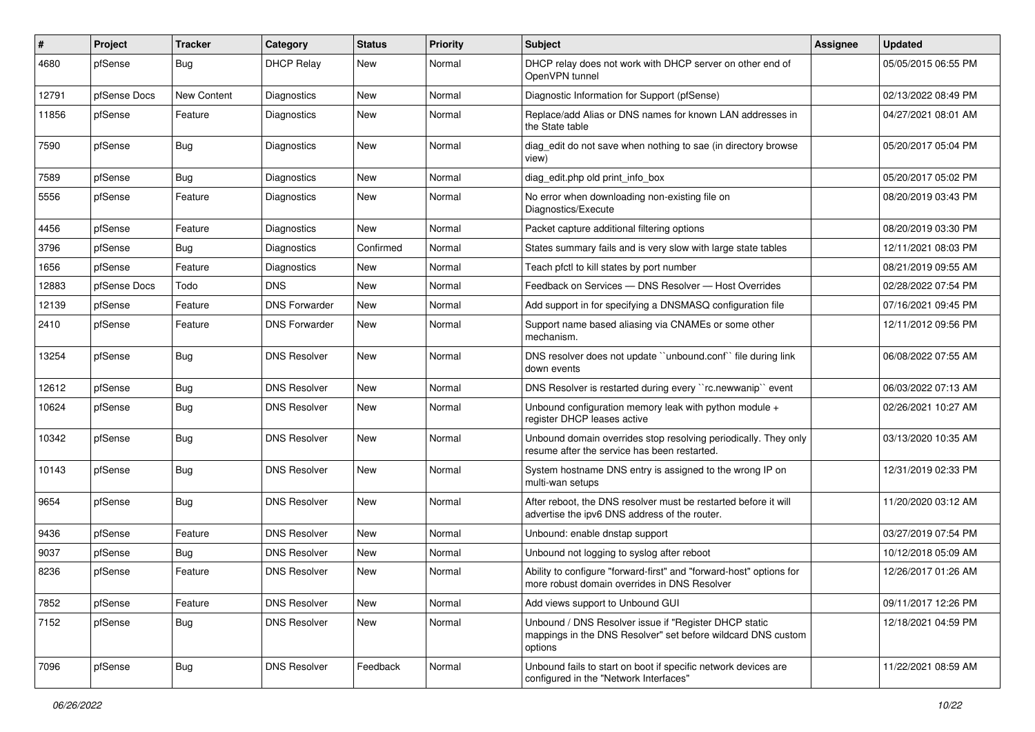| $\#$  | Project      | <b>Tracker</b>     | Category             | <b>Status</b> | <b>Priority</b> | Subject                                                                                                                          | Assignee | <b>Updated</b>      |
|-------|--------------|--------------------|----------------------|---------------|-----------------|----------------------------------------------------------------------------------------------------------------------------------|----------|---------------------|
| 4680  | pfSense      | Bug                | <b>DHCP Relay</b>    | New           | Normal          | DHCP relay does not work with DHCP server on other end of<br>OpenVPN tunnel                                                      |          | 05/05/2015 06:55 PM |
| 12791 | pfSense Docs | <b>New Content</b> | <b>Diagnostics</b>   | New           | Normal          | Diagnostic Information for Support (pfSense)                                                                                     |          | 02/13/2022 08:49 PM |
| 11856 | pfSense      | Feature            | Diagnostics          | New           | Normal          | Replace/add Alias or DNS names for known LAN addresses in<br>the State table                                                     |          | 04/27/2021 08:01 AM |
| 7590  | pfSense      | Bug                | Diagnostics          | New           | Normal          | diag_edit do not save when nothing to sae (in directory browse<br>view)                                                          |          | 05/20/2017 05:04 PM |
| 7589  | pfSense      | Bug                | Diagnostics          | New           | Normal          | diag edit.php old print info box                                                                                                 |          | 05/20/2017 05:02 PM |
| 5556  | pfSense      | Feature            | <b>Diagnostics</b>   | New           | Normal          | No error when downloading non-existing file on<br>Diagnostics/Execute                                                            |          | 08/20/2019 03:43 PM |
| 4456  | pfSense      | Feature            | Diagnostics          | <b>New</b>    | Normal          | Packet capture additional filtering options                                                                                      |          | 08/20/2019 03:30 PM |
| 3796  | pfSense      | Bug                | Diagnostics          | Confirmed     | Normal          | States summary fails and is very slow with large state tables                                                                    |          | 12/11/2021 08:03 PM |
| 1656  | pfSense      | Feature            | Diagnostics          | New           | Normal          | Teach pfctl to kill states by port number                                                                                        |          | 08/21/2019 09:55 AM |
| 12883 | pfSense Docs | Todo               | <b>DNS</b>           | New           | Normal          | Feedback on Services - DNS Resolver - Host Overrides                                                                             |          | 02/28/2022 07:54 PM |
| 12139 | pfSense      | Feature            | <b>DNS Forwarder</b> | New           | Normal          | Add support in for specifying a DNSMASQ configuration file                                                                       |          | 07/16/2021 09:45 PM |
| 2410  | pfSense      | Feature            | <b>DNS Forwarder</b> | New           | Normal          | Support name based aliasing via CNAMEs or some other<br>mechanism.                                                               |          | 12/11/2012 09:56 PM |
| 13254 | pfSense      | Bug                | <b>DNS Resolver</b>  | New           | Normal          | DNS resolver does not update "unbound.conf" file during link<br>down events                                                      |          | 06/08/2022 07:55 AM |
| 12612 | pfSense      | <b>Bug</b>         | <b>DNS Resolver</b>  | New           | Normal          | DNS Resolver is restarted during every "rc.newwanip" event                                                                       |          | 06/03/2022 07:13 AM |
| 10624 | pfSense      | Bug                | <b>DNS Resolver</b>  | New           | Normal          | Unbound configuration memory leak with python module +<br>register DHCP leases active                                            |          | 02/26/2021 10:27 AM |
| 10342 | pfSense      | <b>Bug</b>         | <b>DNS Resolver</b>  | New           | Normal          | Unbound domain overrides stop resolving periodically. They only<br>resume after the service has been restarted.                  |          | 03/13/2020 10:35 AM |
| 10143 | pfSense      | Bug                | <b>DNS Resolver</b>  | New           | Normal          | System hostname DNS entry is assigned to the wrong IP on<br>multi-wan setups                                                     |          | 12/31/2019 02:33 PM |
| 9654  | pfSense      | Bug                | <b>DNS Resolver</b>  | New           | Normal          | After reboot, the DNS resolver must be restarted before it will<br>advertise the ipv6 DNS address of the router.                 |          | 11/20/2020 03:12 AM |
| 9436  | pfSense      | Feature            | <b>DNS Resolver</b>  | <b>New</b>    | Normal          | Unbound: enable dnstap support                                                                                                   |          | 03/27/2019 07:54 PM |
| 9037  | pfSense      | Bug                | <b>DNS Resolver</b>  | New           | Normal          | Unbound not logging to syslog after reboot                                                                                       |          | 10/12/2018 05:09 AM |
| 8236  | pfSense      | Feature            | <b>DNS Resolver</b>  | New           | Normal          | Ability to configure "forward-first" and "forward-host" options for<br>more robust domain overrides in DNS Resolver              |          | 12/26/2017 01:26 AM |
| 7852  | pfSense      | Feature            | <b>DNS Resolver</b>  | New           | Normal          | Add views support to Unbound GUI                                                                                                 |          | 09/11/2017 12:26 PM |
| 7152  | pfSense      | <b>Bug</b>         | <b>DNS Resolver</b>  | New           | Normal          | Unbound / DNS Resolver issue if "Register DHCP static<br>mappings in the DNS Resolver" set before wildcard DNS custom<br>options |          | 12/18/2021 04:59 PM |
| 7096  | pfSense      | <b>Bug</b>         | <b>DNS Resolver</b>  | Feedback      | Normal          | Unbound fails to start on boot if specific network devices are<br>configured in the "Network Interfaces"                         |          | 11/22/2021 08:59 AM |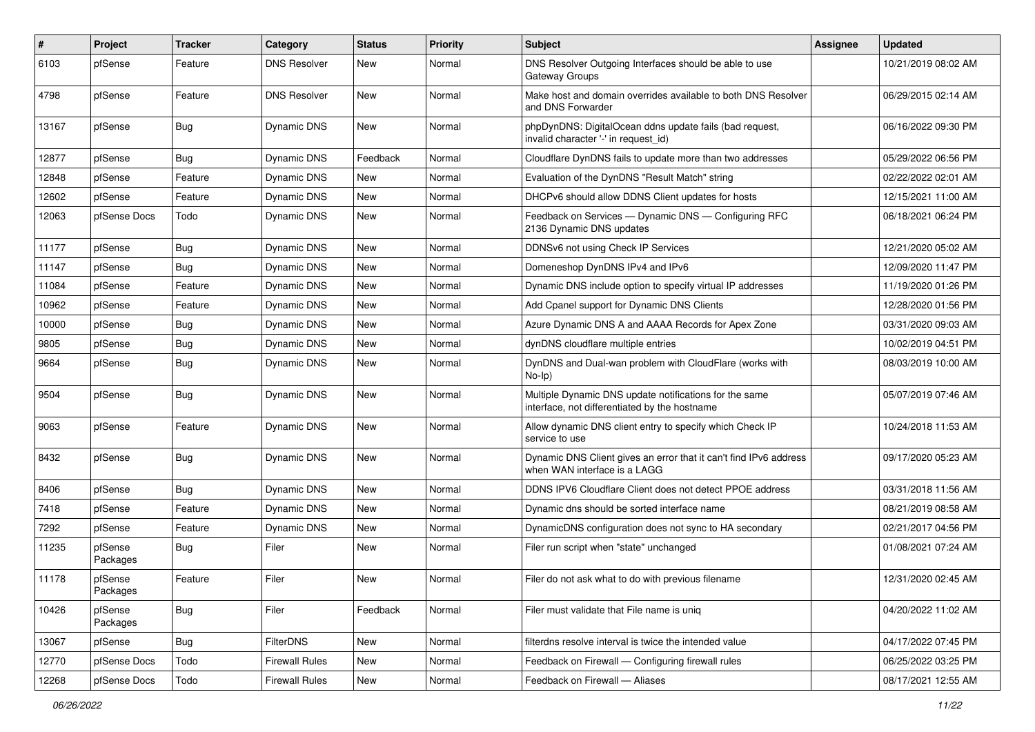| $\#$  | Project             | <b>Tracker</b> | Category              | <b>Status</b> | <b>Priority</b> | Subject                                                                                                 | Assignee | <b>Updated</b>      |
|-------|---------------------|----------------|-----------------------|---------------|-----------------|---------------------------------------------------------------------------------------------------------|----------|---------------------|
| 6103  | pfSense             | Feature        | <b>DNS Resolver</b>   | New           | Normal          | DNS Resolver Outgoing Interfaces should be able to use<br>Gateway Groups                                |          | 10/21/2019 08:02 AM |
| 4798  | pfSense             | Feature        | <b>DNS Resolver</b>   | <b>New</b>    | Normal          | Make host and domain overrides available to both DNS Resolver<br>and DNS Forwarder                      |          | 06/29/2015 02:14 AM |
| 13167 | pfSense             | Bug            | Dynamic DNS           | New           | Normal          | phpDynDNS: DigitalOcean ddns update fails (bad request,<br>invalid character '-' in request id)         |          | 06/16/2022 09:30 PM |
| 12877 | pfSense             | Bug            | Dynamic DNS           | Feedback      | Normal          | Cloudflare DynDNS fails to update more than two addresses                                               |          | 05/29/2022 06:56 PM |
| 12848 | pfSense             | Feature        | Dynamic DNS           | <b>New</b>    | Normal          | Evaluation of the DynDNS "Result Match" string                                                          |          | 02/22/2022 02:01 AM |
| 12602 | pfSense             | Feature        | Dynamic DNS           | New           | Normal          | DHCPv6 should allow DDNS Client updates for hosts                                                       |          | 12/15/2021 11:00 AM |
| 12063 | pfSense Docs        | Todo           | Dynamic DNS           | <b>New</b>    | Normal          | Feedback on Services - Dynamic DNS - Configuring RFC<br>2136 Dynamic DNS updates                        |          | 06/18/2021 06:24 PM |
| 11177 | pfSense             | <b>Bug</b>     | Dynamic DNS           | New           | Normal          | DDNSv6 not using Check IP Services                                                                      |          | 12/21/2020 05:02 AM |
| 11147 | pfSense             | Bug            | Dynamic DNS           | New           | Normal          | Domeneshop DynDNS IPv4 and IPv6                                                                         |          | 12/09/2020 11:47 PM |
| 11084 | pfSense             | Feature        | Dynamic DNS           | <b>New</b>    | Normal          | Dynamic DNS include option to specify virtual IP addresses                                              |          | 11/19/2020 01:26 PM |
| 10962 | pfSense             | Feature        | Dynamic DNS           | New           | Normal          | Add Cpanel support for Dynamic DNS Clients                                                              |          | 12/28/2020 01:56 PM |
| 10000 | pfSense             | <b>Bug</b>     | Dynamic DNS           | New           | Normal          | Azure Dynamic DNS A and AAAA Records for Apex Zone                                                      |          | 03/31/2020 09:03 AM |
| 9805  | pfSense             | Bug            | Dynamic DNS           | New           | Normal          | dynDNS cloudflare multiple entries                                                                      |          | 10/02/2019 04:51 PM |
| 9664  | pfSense             | <b>Bug</b>     | Dynamic DNS           | New           | Normal          | DynDNS and Dual-wan problem with CloudFlare (works with<br>$No-Ip)$                                     |          | 08/03/2019 10:00 AM |
| 9504  | pfSense             | Bug            | Dynamic DNS           | New           | Normal          | Multiple Dynamic DNS update notifications for the same<br>interface, not differentiated by the hostname |          | 05/07/2019 07:46 AM |
| 9063  | pfSense             | Feature        | Dynamic DNS           | <b>New</b>    | Normal          | Allow dynamic DNS client entry to specify which Check IP<br>service to use                              |          | 10/24/2018 11:53 AM |
| 8432  | pfSense             | Bug            | <b>Dynamic DNS</b>    | <b>New</b>    | Normal          | Dynamic DNS Client gives an error that it can't find IPv6 address<br>when WAN interface is a LAGG       |          | 09/17/2020 05:23 AM |
| 8406  | pfSense             | Bug            | Dynamic DNS           | <b>New</b>    | Normal          | DDNS IPV6 Cloudflare Client does not detect PPOE address                                                |          | 03/31/2018 11:56 AM |
| 7418  | pfSense             | Feature        | <b>Dynamic DNS</b>    | New           | Normal          | Dynamic dns should be sorted interface name                                                             |          | 08/21/2019 08:58 AM |
| 7292  | pfSense             | Feature        | Dynamic DNS           | New           | Normal          | DynamicDNS configuration does not sync to HA secondary                                                  |          | 02/21/2017 04:56 PM |
| 11235 | pfSense<br>Packages | Bug            | Filer                 | New           | Normal          | Filer run script when "state" unchanged                                                                 |          | 01/08/2021 07:24 AM |
| 11178 | pfSense<br>Packages | Feature        | Filer                 | New           | Normal          | Filer do not ask what to do with previous filename                                                      |          | 12/31/2020 02:45 AM |
| 10426 | pfSense<br>Packages | <b>Bug</b>     | Filer                 | Feedback      | Normal          | Filer must validate that File name is uniq                                                              |          | 04/20/2022 11:02 AM |
| 13067 | pfSense             | <b>Bug</b>     | <b>FilterDNS</b>      | New           | Normal          | filterdns resolve interval is twice the intended value                                                  |          | 04/17/2022 07:45 PM |
| 12770 | pfSense Docs        | Todo           | <b>Firewall Rules</b> | New           | Normal          | Feedback on Firewall - Configuring firewall rules                                                       |          | 06/25/2022 03:25 PM |
| 12268 | pfSense Docs        | Todo           | <b>Firewall Rules</b> | New           | Normal          | Feedback on Firewall - Aliases                                                                          |          | 08/17/2021 12:55 AM |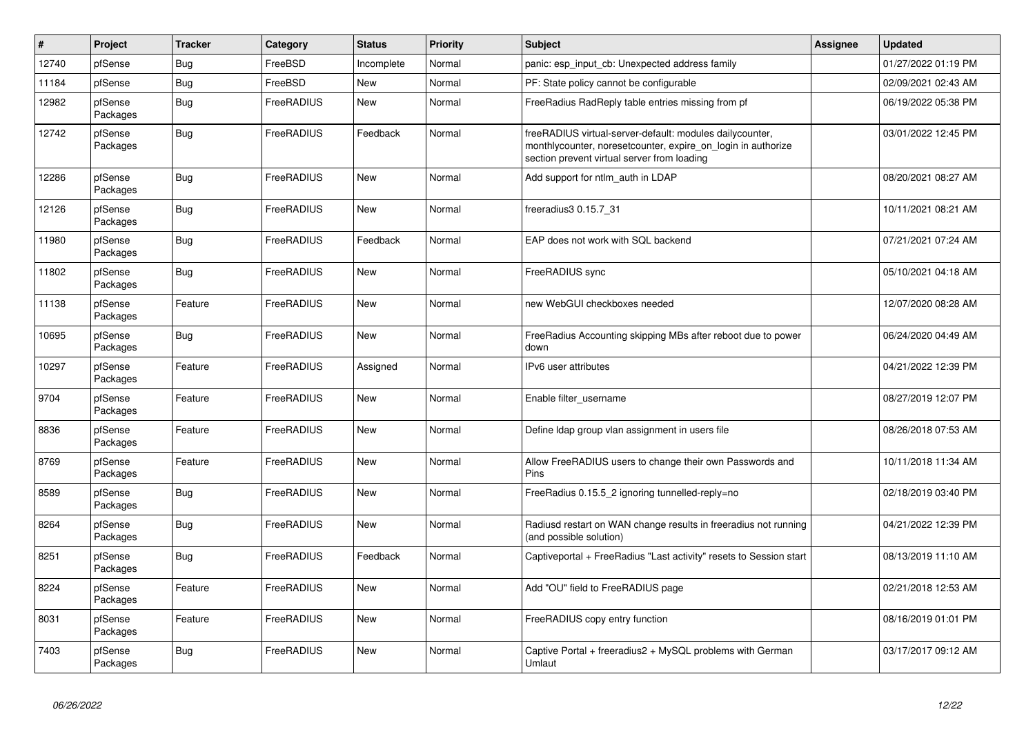| $\vert$ # | Project             | <b>Tracker</b> | Category   | <b>Status</b> | Priority | <b>Subject</b>                                                                                                                                                           | Assignee | <b>Updated</b>      |
|-----------|---------------------|----------------|------------|---------------|----------|--------------------------------------------------------------------------------------------------------------------------------------------------------------------------|----------|---------------------|
| 12740     | pfSense             | Bug            | FreeBSD    | Incomplete    | Normal   | panic: esp input cb: Unexpected address family                                                                                                                           |          | 01/27/2022 01:19 PM |
| 11184     | pfSense             | <b>Bug</b>     | FreeBSD    | <b>New</b>    | Normal   | PF: State policy cannot be configurable                                                                                                                                  |          | 02/09/2021 02:43 AM |
| 12982     | pfSense<br>Packages | Bug            | FreeRADIUS | New           | Normal   | FreeRadius RadReply table entries missing from pf                                                                                                                        |          | 06/19/2022 05:38 PM |
| 12742     | pfSense<br>Packages | Bug            | FreeRADIUS | Feedback      | Normal   | freeRADIUS virtual-server-default: modules dailycounter,<br>monthlycounter, noreset counter, expire on login in authorize<br>section prevent virtual server from loading |          | 03/01/2022 12:45 PM |
| 12286     | pfSense<br>Packages | <b>Bug</b>     | FreeRADIUS | <b>New</b>    | Normal   | Add support for ntlm auth in LDAP                                                                                                                                        |          | 08/20/2021 08:27 AM |
| 12126     | pfSense<br>Packages | <b>Bug</b>     | FreeRADIUS | New           | Normal   | freeradius3 0.15.7 31                                                                                                                                                    |          | 10/11/2021 08:21 AM |
| 11980     | pfSense<br>Packages | <b>Bug</b>     | FreeRADIUS | Feedback      | Normal   | EAP does not work with SQL backend                                                                                                                                       |          | 07/21/2021 07:24 AM |
| 11802     | pfSense<br>Packages | Bug            | FreeRADIUS | <b>New</b>    | Normal   | FreeRADIUS sync                                                                                                                                                          |          | 05/10/2021 04:18 AM |
| 11138     | pfSense<br>Packages | Feature        | FreeRADIUS | <b>New</b>    | Normal   | new WebGUI checkboxes needed                                                                                                                                             |          | 12/07/2020 08:28 AM |
| 10695     | pfSense<br>Packages | Bug            | FreeRADIUS | New           | Normal   | FreeRadius Accounting skipping MBs after reboot due to power<br>down                                                                                                     |          | 06/24/2020 04:49 AM |
| 10297     | pfSense<br>Packages | Feature        | FreeRADIUS | Assigned      | Normal   | IPv6 user attributes                                                                                                                                                     |          | 04/21/2022 12:39 PM |
| 9704      | pfSense<br>Packages | Feature        | FreeRADIUS | New           | Normal   | Enable filter_username                                                                                                                                                   |          | 08/27/2019 12:07 PM |
| 8836      | pfSense<br>Packages | Feature        | FreeRADIUS | <b>New</b>    | Normal   | Define Idap group vlan assignment in users file                                                                                                                          |          | 08/26/2018 07:53 AM |
| 8769      | pfSense<br>Packages | Feature        | FreeRADIUS | New           | Normal   | Allow FreeRADIUS users to change their own Passwords and<br>Pins                                                                                                         |          | 10/11/2018 11:34 AM |
| 8589      | pfSense<br>Packages | <b>Bug</b>     | FreeRADIUS | <b>New</b>    | Normal   | FreeRadius 0.15.5 2 ignoring tunnelled-reply=no                                                                                                                          |          | 02/18/2019 03:40 PM |
| 8264      | pfSense<br>Packages | Bug            | FreeRADIUS | <b>New</b>    | Normal   | Radiusd restart on WAN change results in freeradius not running<br>(and possible solution)                                                                               |          | 04/21/2022 12:39 PM |
| 8251      | pfSense<br>Packages | Bug            | FreeRADIUS | Feedback      | Normal   | Captiveportal + FreeRadius "Last activity" resets to Session start                                                                                                       |          | 08/13/2019 11:10 AM |
| 8224      | pfSense<br>Packages | Feature        | FreeRADIUS | New           | Normal   | Add "OU" field to FreeRADIUS page                                                                                                                                        |          | 02/21/2018 12:53 AM |
| 8031      | pfSense<br>Packages | Feature        | FreeRADIUS | New           | Normal   | FreeRADIUS copy entry function                                                                                                                                           |          | 08/16/2019 01:01 PM |
| 7403      | pfSense<br>Packages | Bug            | FreeRADIUS | <b>New</b>    | Normal   | Captive Portal + freeradius2 + MySQL problems with German<br>Umlaut                                                                                                      |          | 03/17/2017 09:12 AM |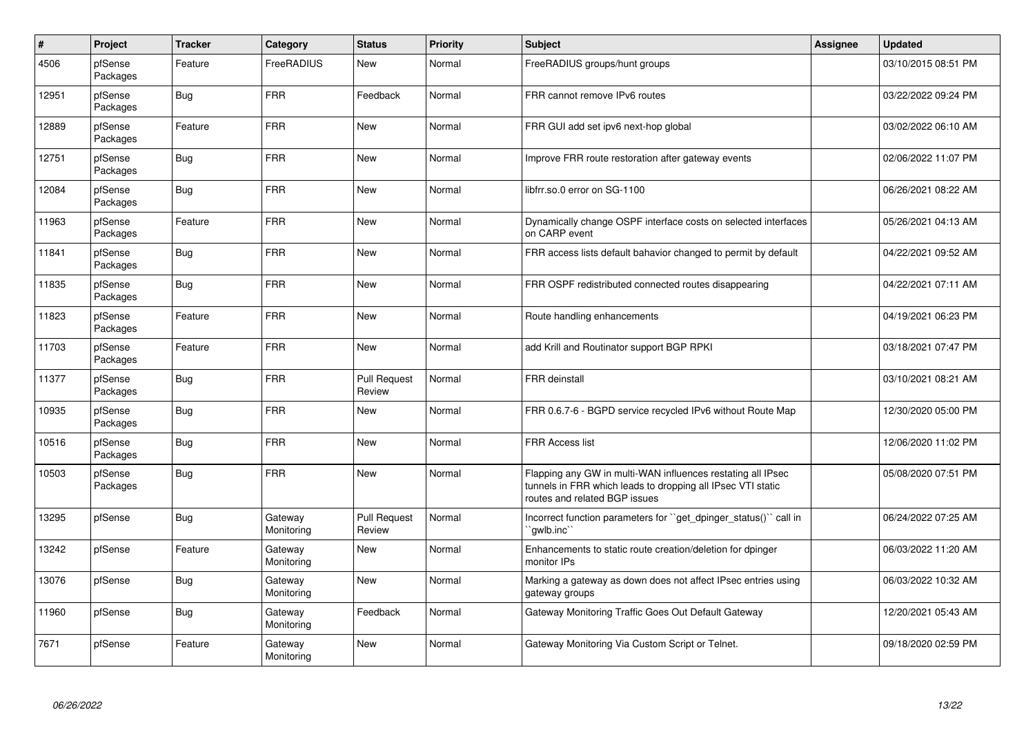| $\vert$ # | Project             | <b>Tracker</b> | Category              | <b>Status</b>                 | <b>Priority</b> | <b>Subject</b>                                                                                                                                              | Assignee | <b>Updated</b>      |
|-----------|---------------------|----------------|-----------------------|-------------------------------|-----------------|-------------------------------------------------------------------------------------------------------------------------------------------------------------|----------|---------------------|
| 4506      | pfSense<br>Packages | Feature        | FreeRADIUS            | New                           | Normal          | FreeRADIUS groups/hunt groups                                                                                                                               |          | 03/10/2015 08:51 PM |
| 12951     | pfSense<br>Packages | <b>Bug</b>     | <b>FRR</b>            | Feedback                      | Normal          | FRR cannot remove IPv6 routes                                                                                                                               |          | 03/22/2022 09:24 PM |
| 12889     | pfSense<br>Packages | Feature        | <b>FRR</b>            | New                           | Normal          | FRR GUI add set ipv6 next-hop global                                                                                                                        |          | 03/02/2022 06:10 AM |
| 12751     | pfSense<br>Packages | Bug            | FRR                   | New                           | Normal          | Improve FRR route restoration after gateway events                                                                                                          |          | 02/06/2022 11:07 PM |
| 12084     | pfSense<br>Packages | Bug            | <b>FRR</b>            | <b>New</b>                    | Normal          | libfrr.so.0 error on SG-1100                                                                                                                                |          | 06/26/2021 08:22 AM |
| 11963     | pfSense<br>Packages | Feature        | <b>FRR</b>            | <b>New</b>                    | Normal          | Dynamically change OSPF interface costs on selected interfaces<br>on CARP event                                                                             |          | 05/26/2021 04:13 AM |
| 11841     | pfSense<br>Packages | Bug            | <b>FRR</b>            | New                           | Normal          | FRR access lists default bahavior changed to permit by default                                                                                              |          | 04/22/2021 09:52 AM |
| 11835     | pfSense<br>Packages | Bug            | <b>FRR</b>            | New                           | Normal          | FRR OSPF redistributed connected routes disappearing                                                                                                        |          | 04/22/2021 07:11 AM |
| 11823     | pfSense<br>Packages | Feature        | <b>FRR</b>            | <b>New</b>                    | Normal          | Route handling enhancements                                                                                                                                 |          | 04/19/2021 06:23 PM |
| 11703     | pfSense<br>Packages | Feature        | <b>FRR</b>            | New                           | Normal          | add Krill and Routinator support BGP RPKI                                                                                                                   |          | 03/18/2021 07:47 PM |
| 11377     | pfSense<br>Packages | <b>Bug</b>     | <b>FRR</b>            | <b>Pull Request</b><br>Review | Normal          | <b>FRR</b> deinstall                                                                                                                                        |          | 03/10/2021 08:21 AM |
| 10935     | pfSense<br>Packages | <b>Bug</b>     | <b>FRR</b>            | New                           | Normal          | FRR 0.6.7-6 - BGPD service recycled IPv6 without Route Map                                                                                                  |          | 12/30/2020 05:00 PM |
| 10516     | pfSense<br>Packages | Bug            | <b>FRR</b>            | New                           | Normal          | <b>FRR Access list</b>                                                                                                                                      |          | 12/06/2020 11:02 PM |
| 10503     | pfSense<br>Packages | <b>Bug</b>     | <b>FRR</b>            | <b>New</b>                    | Normal          | Flapping any GW in multi-WAN influences restating all IPsec<br>tunnels in FRR which leads to dropping all IPsec VTI static<br>routes and related BGP issues |          | 05/08/2020 07:51 PM |
| 13295     | pfSense             | <b>Bug</b>     | Gateway<br>Monitoring | <b>Pull Request</b><br>Review | Normal          | Incorrect function parameters for "get_dpinger_status()" call in<br>`qwlb.inc`                                                                              |          | 06/24/2022 07:25 AM |
| 13242     | pfSense             | Feature        | Gateway<br>Monitoring | New                           | Normal          | Enhancements to static route creation/deletion for dpinger<br>monitor IPs                                                                                   |          | 06/03/2022 11:20 AM |
| 13076     | pfSense             | Bug            | Gateway<br>Monitoring | New                           | Normal          | Marking a gateway as down does not affect IPsec entries using<br>gateway groups                                                                             |          | 06/03/2022 10:32 AM |
| 11960     | pfSense             | <b>Bug</b>     | Gateway<br>Monitoring | Feedback                      | Normal          | Gateway Monitoring Traffic Goes Out Default Gateway                                                                                                         |          | 12/20/2021 05:43 AM |
| 7671      | pfSense             | Feature        | Gateway<br>Monitoring | New                           | Normal          | Gateway Monitoring Via Custom Script or Telnet.                                                                                                             |          | 09/18/2020 02:59 PM |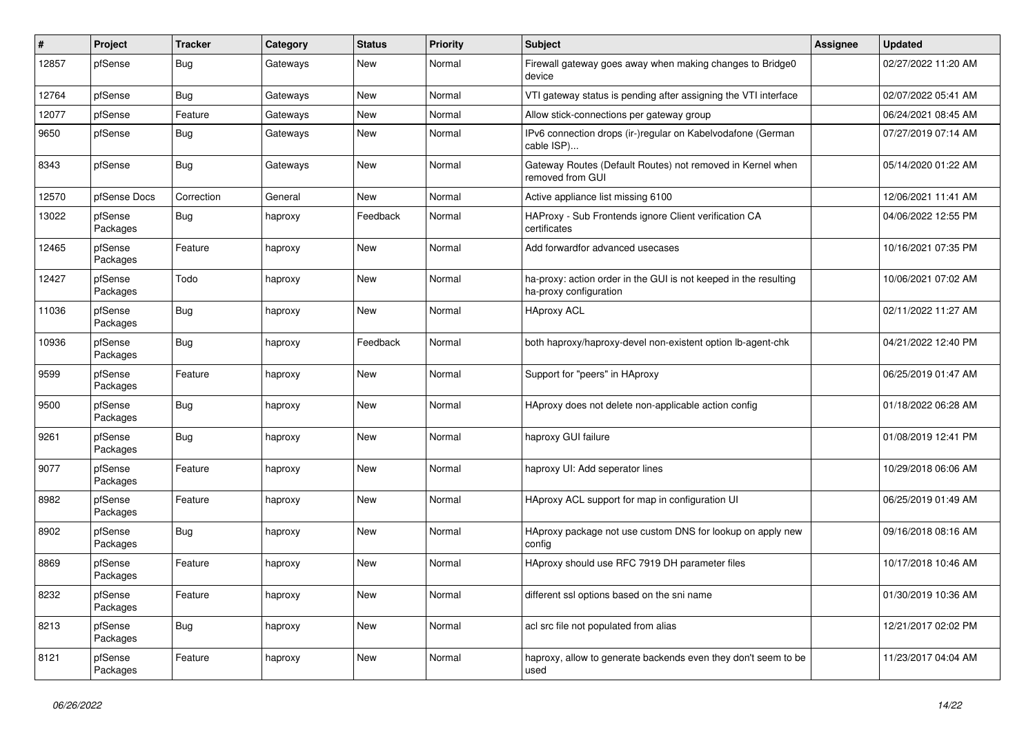| ∦     | Project             | <b>Tracker</b> | Category | <b>Status</b> | <b>Priority</b> | <b>Subject</b>                                                                             | <b>Assignee</b> | <b>Updated</b>      |
|-------|---------------------|----------------|----------|---------------|-----------------|--------------------------------------------------------------------------------------------|-----------------|---------------------|
| 12857 | pfSense             | Bug            | Gateways | New           | Normal          | Firewall gateway goes away when making changes to Bridge0<br>device                        |                 | 02/27/2022 11:20 AM |
| 12764 | pfSense             | Bug            | Gateways | New           | Normal          | VTI gateway status is pending after assigning the VTI interface                            |                 | 02/07/2022 05:41 AM |
| 12077 | pfSense             | Feature        | Gateways | New           | Normal          | Allow stick-connections per gateway group                                                  |                 | 06/24/2021 08:45 AM |
| 9650  | pfSense             | Bug            | Gateways | New           | Normal          | IPv6 connection drops (ir-)regular on Kabelvodafone (German<br>cable ISP)                  |                 | 07/27/2019 07:14 AM |
| 8343  | pfSense             | Bug            | Gateways | New           | Normal          | Gateway Routes (Default Routes) not removed in Kernel when<br>removed from GUI             |                 | 05/14/2020 01:22 AM |
| 12570 | pfSense Docs        | Correction     | General  | <b>New</b>    | Normal          | Active appliance list missing 6100                                                         |                 | 12/06/2021 11:41 AM |
| 13022 | pfSense<br>Packages | <b>Bug</b>     | haproxy  | Feedback      | Normal          | HAProxy - Sub Frontends ignore Client verification CA<br>certificates                      |                 | 04/06/2022 12:55 PM |
| 12465 | pfSense<br>Packages | Feature        | haproxy  | New           | Normal          | Add forwardfor advanced usecases                                                           |                 | 10/16/2021 07:35 PM |
| 12427 | pfSense<br>Packages | Todo           | haproxy  | <b>New</b>    | Normal          | ha-proxy: action order in the GUI is not keeped in the resulting<br>ha-proxy configuration |                 | 10/06/2021 07:02 AM |
| 11036 | pfSense<br>Packages | <b>Bug</b>     | haproxy  | New           | Normal          | <b>HAproxy ACL</b>                                                                         |                 | 02/11/2022 11:27 AM |
| 10936 | pfSense<br>Packages | Bug            | haproxy  | Feedback      | Normal          | both haproxy/haproxy-devel non-existent option lb-agent-chk                                |                 | 04/21/2022 12:40 PM |
| 9599  | pfSense<br>Packages | Feature        | haproxy  | <b>New</b>    | Normal          | Support for "peers" in HAproxy                                                             |                 | 06/25/2019 01:47 AM |
| 9500  | pfSense<br>Packages | <b>Bug</b>     | haproxy  | New           | Normal          | HAproxy does not delete non-applicable action config                                       |                 | 01/18/2022 06:28 AM |
| 9261  | pfSense<br>Packages | Bug            | haproxy  | New           | Normal          | haproxy GUI failure                                                                        |                 | 01/08/2019 12:41 PM |
| 9077  | pfSense<br>Packages | Feature        | haproxy  | New           | Normal          | haproxy UI: Add seperator lines                                                            |                 | 10/29/2018 06:06 AM |
| 8982  | pfSense<br>Packages | Feature        | haproxy  | New           | Normal          | HAproxy ACL support for map in configuration UI                                            |                 | 06/25/2019 01:49 AM |
| 8902  | pfSense<br>Packages | <b>Bug</b>     | haproxy  | New           | Normal          | HAproxy package not use custom DNS for lookup on apply new<br>config                       |                 | 09/16/2018 08:16 AM |
| 8869  | pfSense<br>Packages | Feature        | haproxy  | New           | Normal          | HAproxy should use RFC 7919 DH parameter files                                             |                 | 10/17/2018 10:46 AM |
| 8232  | pfSense<br>Packages | Feature        | haproxy  | New           | Normal          | different ssl options based on the sni name                                                |                 | 01/30/2019 10:36 AM |
| 8213  | pfSense<br>Packages | <b>Bug</b>     | haproxy  | New           | Normal          | acl src file not populated from alias                                                      |                 | 12/21/2017 02:02 PM |
| 8121  | pfSense<br>Packages | Feature        | haproxy  | New           | Normal          | haproxy, allow to generate backends even they don't seem to be<br>used                     |                 | 11/23/2017 04:04 AM |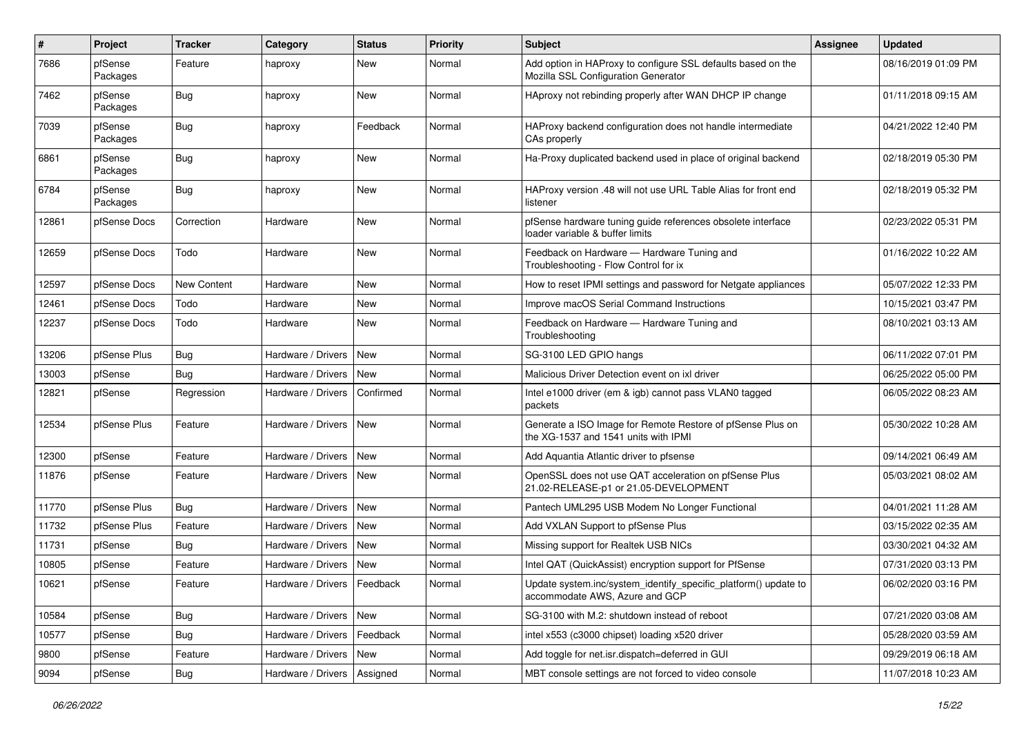| ∦     | <b>Project</b>      | <b>Tracker</b> | Category                      | <b>Status</b> | <b>Priority</b> | Subject                                                                                             | <b>Assignee</b> | <b>Updated</b>      |
|-------|---------------------|----------------|-------------------------------|---------------|-----------------|-----------------------------------------------------------------------------------------------------|-----------------|---------------------|
| 7686  | pfSense<br>Packages | Feature        | haproxy                       | New           | Normal          | Add option in HAProxy to configure SSL defaults based on the<br>Mozilla SSL Configuration Generator |                 | 08/16/2019 01:09 PM |
| 7462  | pfSense<br>Packages | Bug            | haproxy                       | New           | Normal          | HAproxy not rebinding properly after WAN DHCP IP change                                             |                 | 01/11/2018 09:15 AM |
| 7039  | pfSense<br>Packages | Bug            | haproxy                       | Feedback      | Normal          | HAProxy backend configuration does not handle intermediate<br>CAs properly                          |                 | 04/21/2022 12:40 PM |
| 6861  | pfSense<br>Packages | Bug            | haproxy                       | New           | Normal          | Ha-Proxy duplicated backend used in place of original backend                                       |                 | 02/18/2019 05:30 PM |
| 6784  | pfSense<br>Packages | Bug            | haproxy                       | New           | Normal          | HAProxy version .48 will not use URL Table Alias for front end<br>listener                          |                 | 02/18/2019 05:32 PM |
| 12861 | pfSense Docs        | Correction     | Hardware                      | New           | Normal          | pfSense hardware tuning guide references obsolete interface<br>loader variable & buffer limits      |                 | 02/23/2022 05:31 PM |
| 12659 | pfSense Docs        | Todo           | Hardware                      | New           | Normal          | Feedback on Hardware - Hardware Tuning and<br>Troubleshooting - Flow Control for ix                 |                 | 01/16/2022 10:22 AM |
| 12597 | pfSense Docs        | New Content    | Hardware                      | New           | Normal          | How to reset IPMI settings and password for Netgate appliances                                      |                 | 05/07/2022 12:33 PM |
| 12461 | pfSense Docs        | Todo           | Hardware                      | <b>New</b>    | Normal          | Improve macOS Serial Command Instructions                                                           |                 | 10/15/2021 03:47 PM |
| 12237 | pfSense Docs        | Todo           | Hardware                      | <b>New</b>    | Normal          | Feedback on Hardware - Hardware Tuning and<br>Troubleshooting                                       |                 | 08/10/2021 03:13 AM |
| 13206 | pfSense Plus        | <b>Bug</b>     | Hardware / Drivers            | <b>New</b>    | Normal          | SG-3100 LED GPIO hangs                                                                              |                 | 06/11/2022 07:01 PM |
| 13003 | pfSense             | Bug            | Hardware / Drivers            | New           | Normal          | Malicious Driver Detection event on ixl driver                                                      |                 | 06/25/2022 05:00 PM |
| 12821 | pfSense             | Regression     | Hardware / Drivers            | Confirmed     | Normal          | Intel e1000 driver (em & igb) cannot pass VLAN0 tagged<br>packets                                   |                 | 06/05/2022 08:23 AM |
| 12534 | pfSense Plus        | Feature        | Hardware / Drivers            | New           | Normal          | Generate a ISO Image for Remote Restore of pfSense Plus on<br>the XG-1537 and 1541 units with IPMI  |                 | 05/30/2022 10:28 AM |
| 12300 | pfSense             | Feature        | Hardware / Drivers            | New           | Normal          | Add Aquantia Atlantic driver to pfsense                                                             |                 | 09/14/2021 06:49 AM |
| 11876 | pfSense             | Feature        | Hardware / Drivers            | New           | Normal          | OpenSSL does not use QAT acceleration on pfSense Plus<br>21.02-RELEASE-p1 or 21.05-DEVELOPMENT      |                 | 05/03/2021 08:02 AM |
| 11770 | pfSense Plus        | Bug            | Hardware / Drivers            | New           | Normal          | Pantech UML295 USB Modem No Longer Functional                                                       |                 | 04/01/2021 11:28 AM |
| 11732 | pfSense Plus        | Feature        | Hardware / Drivers            | <b>New</b>    | Normal          | Add VXLAN Support to pfSense Plus                                                                   |                 | 03/15/2022 02:35 AM |
| 11731 | pfSense             | <b>Bug</b>     | Hardware / Drivers            | New           | Normal          | Missing support for Realtek USB NICs                                                                |                 | 03/30/2021 04:32 AM |
| 10805 | pfSense             | Feature        | Hardware / Drivers            | <b>New</b>    | Normal          | Intel QAT (QuickAssist) encryption support for PfSense                                              |                 | 07/31/2020 03:13 PM |
| 10621 | pfSense             | Feature        | Hardware / Drivers   Feedback |               | Normal          | Update system.inc/system_identify_specific_platform() update to<br>accommodate AWS, Azure and GCP   |                 | 06/02/2020 03:16 PM |
| 10584 | pfSense             | Bug            | Hardware / Drivers            | New           | Normal          | SG-3100 with M.2: shutdown instead of reboot                                                        |                 | 07/21/2020 03:08 AM |
| 10577 | pfSense             | <b>Bug</b>     | Hardware / Drivers            | Feedback      | Normal          | intel x553 (c3000 chipset) loading x520 driver                                                      |                 | 05/28/2020 03:59 AM |
| 9800  | pfSense             | Feature        | Hardware / Drivers            | New           | Normal          | Add toggle for net.isr.dispatch=deferred in GUI                                                     |                 | 09/29/2019 06:18 AM |
| 9094  | pfSense             | <b>Bug</b>     | Hardware / Drivers            | Assigned      | Normal          | MBT console settings are not forced to video console                                                |                 | 11/07/2018 10:23 AM |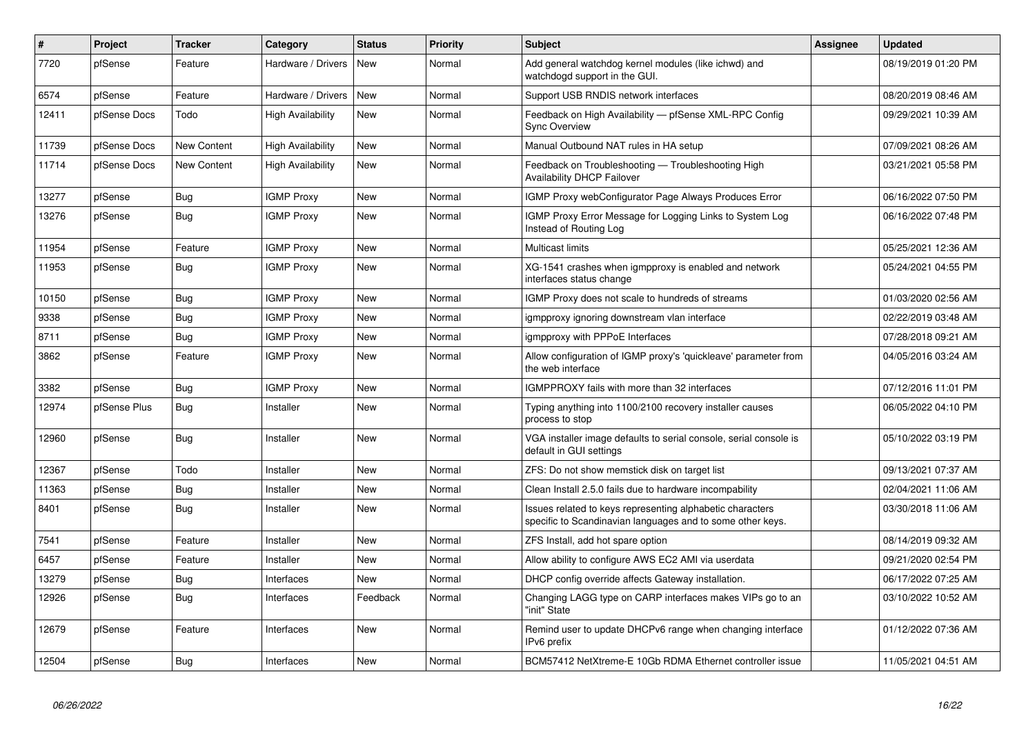| $\#$  | Project      | <b>Tracker</b>     | Category                 | <b>Status</b> | Priority | <b>Subject</b>                                                                                                          | <b>Assignee</b> | <b>Updated</b>      |
|-------|--------------|--------------------|--------------------------|---------------|----------|-------------------------------------------------------------------------------------------------------------------------|-----------------|---------------------|
| 7720  | pfSense      | Feature            | Hardware / Drivers       | New           | Normal   | Add general watchdog kernel modules (like ichwd) and<br>watchdogd support in the GUI.                                   |                 | 08/19/2019 01:20 PM |
| 6574  | pfSense      | Feature            | Hardware / Drivers       | New           | Normal   | Support USB RNDIS network interfaces                                                                                    |                 | 08/20/2019 08:46 AM |
| 12411 | pfSense Docs | Todo               | <b>High Availability</b> | <b>New</b>    | Normal   | Feedback on High Availability - pfSense XML-RPC Config<br><b>Sync Overview</b>                                          |                 | 09/29/2021 10:39 AM |
| 11739 | pfSense Docs | New Content        | <b>High Availability</b> | New           | Normal   | Manual Outbound NAT rules in HA setup                                                                                   |                 | 07/09/2021 08:26 AM |
| 11714 | pfSense Docs | <b>New Content</b> | <b>High Availability</b> | <b>New</b>    | Normal   | Feedback on Troubleshooting - Troubleshooting High<br>Availability DHCP Failover                                        |                 | 03/21/2021 05:58 PM |
| 13277 | pfSense      | Bug                | <b>IGMP Proxy</b>        | <b>New</b>    | Normal   | IGMP Proxy webConfigurator Page Always Produces Error                                                                   |                 | 06/16/2022 07:50 PM |
| 13276 | pfSense      | Bug                | <b>IGMP Proxy</b>        | <b>New</b>    | Normal   | IGMP Proxy Error Message for Logging Links to System Log<br>Instead of Routing Log                                      |                 | 06/16/2022 07:48 PM |
| 11954 | pfSense      | Feature            | <b>IGMP Proxy</b>        | New           | Normal   | <b>Multicast limits</b>                                                                                                 |                 | 05/25/2021 12:36 AM |
| 11953 | pfSense      | Bug                | <b>IGMP Proxy</b>        | New           | Normal   | XG-1541 crashes when igmpproxy is enabled and network<br>interfaces status change                                       |                 | 05/24/2021 04:55 PM |
| 10150 | pfSense      | Bug                | <b>IGMP Proxy</b>        | <b>New</b>    | Normal   | IGMP Proxy does not scale to hundreds of streams                                                                        |                 | 01/03/2020 02:56 AM |
| 9338  | pfSense      | Bug                | <b>IGMP Proxy</b>        | <b>New</b>    | Normal   | igmpproxy ignoring downstream vlan interface                                                                            |                 | 02/22/2019 03:48 AM |
| 8711  | pfSense      | Bug                | <b>IGMP Proxy</b>        | <b>New</b>    | Normal   | igmpproxy with PPPoE Interfaces                                                                                         |                 | 07/28/2018 09:21 AM |
| 3862  | pfSense      | Feature            | <b>IGMP Proxy</b>        | New           | Normal   | Allow configuration of IGMP proxy's 'quickleave' parameter from<br>the web interface                                    |                 | 04/05/2016 03:24 AM |
| 3382  | pfSense      | Bug                | <b>IGMP Proxy</b>        | <b>New</b>    | Normal   | IGMPPROXY fails with more than 32 interfaces                                                                            |                 | 07/12/2016 11:01 PM |
| 12974 | pfSense Plus | <b>Bug</b>         | Installer                | <b>New</b>    | Normal   | Typing anything into 1100/2100 recovery installer causes<br>process to stop                                             |                 | 06/05/2022 04:10 PM |
| 12960 | pfSense      | Bug                | Installer                | New           | Normal   | VGA installer image defaults to serial console, serial console is<br>default in GUI settings                            |                 | 05/10/2022 03:19 PM |
| 12367 | pfSense      | Todo               | Installer                | <b>New</b>    | Normal   | ZFS: Do not show memstick disk on target list                                                                           |                 | 09/13/2021 07:37 AM |
| 11363 | pfSense      | Bug                | Installer                | <b>New</b>    | Normal   | Clean Install 2.5.0 fails due to hardware incompability                                                                 |                 | 02/04/2021 11:06 AM |
| 8401  | pfSense      | <b>Bug</b>         | Installer                | <b>New</b>    | Normal   | Issues related to keys representing alphabetic characters<br>specific to Scandinavian languages and to some other keys. |                 | 03/30/2018 11:06 AM |
| 7541  | pfSense      | Feature            | Installer                | <b>New</b>    | Normal   | ZFS Install, add hot spare option                                                                                       |                 | 08/14/2019 09:32 AM |
| 6457  | pfSense      | Feature            | Installer                | <b>New</b>    | Normal   | Allow ability to configure AWS EC2 AMI via userdata                                                                     |                 | 09/21/2020 02:54 PM |
| 13279 | pfSense      | <b>Bug</b>         | Interfaces               | <b>New</b>    | Normal   | DHCP config override affects Gateway installation.                                                                      |                 | 06/17/2022 07:25 AM |
| 12926 | pfSense      | <b>Bug</b>         | Interfaces               | Feedback      | Normal   | Changing LAGG type on CARP interfaces makes VIPs go to an<br>"init" State                                               |                 | 03/10/2022 10:52 AM |
| 12679 | pfSense      | Feature            | Interfaces               | <b>New</b>    | Normal   | Remind user to update DHCPv6 range when changing interface<br>IPv6 prefix                                               |                 | 01/12/2022 07:36 AM |
| 12504 | pfSense      | Bug                | Interfaces               | <b>New</b>    | Normal   | BCM57412 NetXtreme-E 10Gb RDMA Ethernet controller issue                                                                |                 | 11/05/2021 04:51 AM |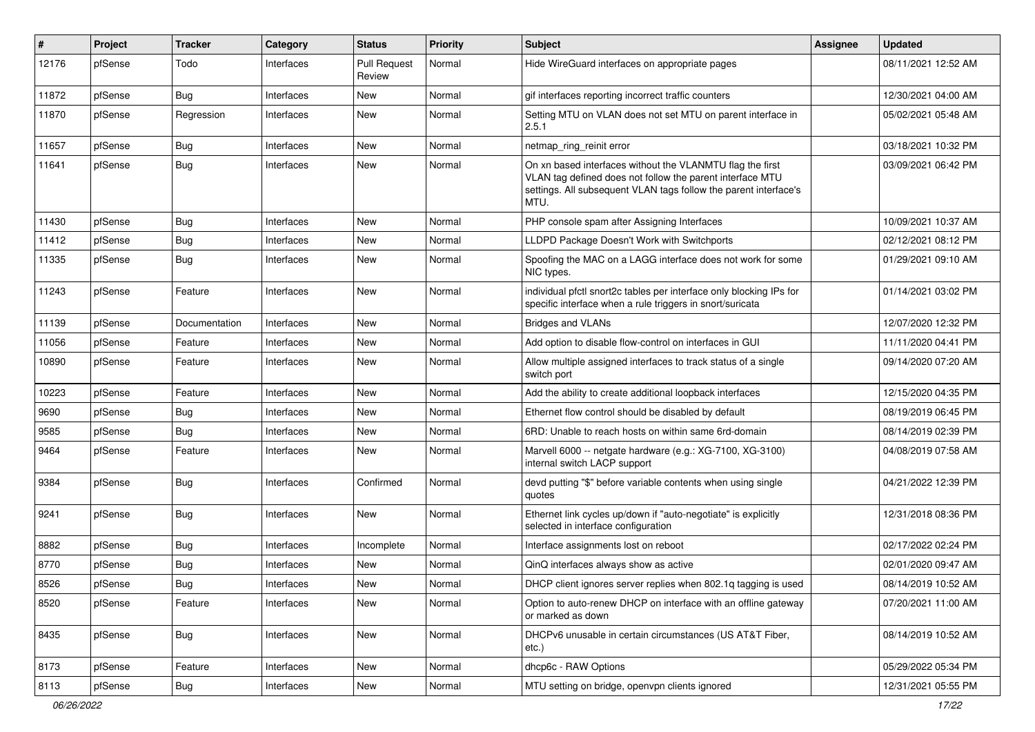| #     | Project | <b>Tracker</b> | Category   | <b>Status</b>                 | Priority | Subject                                                                                                                                                                                            | <b>Assignee</b> | <b>Updated</b>      |
|-------|---------|----------------|------------|-------------------------------|----------|----------------------------------------------------------------------------------------------------------------------------------------------------------------------------------------------------|-----------------|---------------------|
| 12176 | pfSense | Todo           | Interfaces | <b>Pull Request</b><br>Review | Normal   | Hide WireGuard interfaces on appropriate pages                                                                                                                                                     |                 | 08/11/2021 12:52 AM |
| 11872 | pfSense | <b>Bug</b>     | Interfaces | New                           | Normal   | gif interfaces reporting incorrect traffic counters                                                                                                                                                |                 | 12/30/2021 04:00 AM |
| 11870 | pfSense | Regression     | Interfaces | New                           | Normal   | Setting MTU on VLAN does not set MTU on parent interface in<br>2.5.1                                                                                                                               |                 | 05/02/2021 05:48 AM |
| 11657 | pfSense | Bug            | Interfaces | New                           | Normal   | netmap_ring_reinit error                                                                                                                                                                           |                 | 03/18/2021 10:32 PM |
| 11641 | pfSense | Bug            | Interfaces | New                           | Normal   | On xn based interfaces without the VLANMTU flag the first<br>VLAN tag defined does not follow the parent interface MTU<br>settings. All subsequent VLAN tags follow the parent interface's<br>MTU. |                 | 03/09/2021 06:42 PM |
| 11430 | pfSense | Bug            | Interfaces | <b>New</b>                    | Normal   | PHP console spam after Assigning Interfaces                                                                                                                                                        |                 | 10/09/2021 10:37 AM |
| 11412 | pfSense | <b>Bug</b>     | Interfaces | New                           | Normal   | LLDPD Package Doesn't Work with Switchports                                                                                                                                                        |                 | 02/12/2021 08:12 PM |
| 11335 | pfSense | <b>Bug</b>     | Interfaces | New                           | Normal   | Spoofing the MAC on a LAGG interface does not work for some<br>NIC types.                                                                                                                          |                 | 01/29/2021 09:10 AM |
| 11243 | pfSense | Feature        | Interfaces | New                           | Normal   | individual pfctl snort2c tables per interface only blocking IPs for<br>specific interface when a rule triggers in snort/suricata                                                                   |                 | 01/14/2021 03:02 PM |
| 11139 | pfSense | Documentation  | Interfaces | New                           | Normal   | <b>Bridges and VLANs</b>                                                                                                                                                                           |                 | 12/07/2020 12:32 PM |
| 11056 | pfSense | Feature        | Interfaces | New                           | Normal   | Add option to disable flow-control on interfaces in GUI                                                                                                                                            |                 | 11/11/2020 04:41 PM |
| 10890 | pfSense | Feature        | Interfaces | New                           | Normal   | Allow multiple assigned interfaces to track status of a single<br>switch port                                                                                                                      |                 | 09/14/2020 07:20 AM |
| 10223 | pfSense | Feature        | Interfaces | New                           | Normal   | Add the ability to create additional loopback interfaces                                                                                                                                           |                 | 12/15/2020 04:35 PM |
| 9690  | pfSense | Bug            | Interfaces | New                           | Normal   | Ethernet flow control should be disabled by default                                                                                                                                                |                 | 08/19/2019 06:45 PM |
| 9585  | pfSense | Bug            | Interfaces | New                           | Normal   | 6RD: Unable to reach hosts on within same 6rd-domain                                                                                                                                               |                 | 08/14/2019 02:39 PM |
| 9464  | pfSense | Feature        | Interfaces | New                           | Normal   | Marvell 6000 -- netgate hardware (e.g.: XG-7100, XG-3100)<br>internal switch LACP support                                                                                                          |                 | 04/08/2019 07:58 AM |
| 9384  | pfSense | <b>Bug</b>     | Interfaces | Confirmed                     | Normal   | devd putting "\$" before variable contents when using single<br>quotes                                                                                                                             |                 | 04/21/2022 12:39 PM |
| 9241  | pfSense | Bug            | Interfaces | New                           | Normal   | Ethernet link cycles up/down if "auto-negotiate" is explicitly<br>selected in interface configuration                                                                                              |                 | 12/31/2018 08:36 PM |
| 8882  | pfSense | <b>Bug</b>     | Interfaces | Incomplete                    | Normal   | Interface assignments lost on reboot                                                                                                                                                               |                 | 02/17/2022 02:24 PM |
| 8770  | pfSense | <b>Bug</b>     | Interfaces | New                           | Normal   | QinQ interfaces always show as active                                                                                                                                                              |                 | 02/01/2020 09:47 AM |
| 8526  | pfSense | <b>Bug</b>     | Interfaces | New                           | Normal   | DHCP client ignores server replies when 802.1q tagging is used                                                                                                                                     |                 | 08/14/2019 10:52 AM |
| 8520  | pfSense | Feature        | Interfaces | New                           | Normal   | Option to auto-renew DHCP on interface with an offline gateway<br>or marked as down                                                                                                                |                 | 07/20/2021 11:00 AM |
| 8435  | pfSense | <b>Bug</b>     | Interfaces | New                           | Normal   | DHCPv6 unusable in certain circumstances (US AT&T Fiber,<br>etc.)                                                                                                                                  |                 | 08/14/2019 10:52 AM |
| 8173  | pfSense | Feature        | Interfaces | New                           | Normal   | dhcp6c - RAW Options                                                                                                                                                                               |                 | 05/29/2022 05:34 PM |
| 8113  | pfSense | Bug            | Interfaces | New                           | Normal   | MTU setting on bridge, openvpn clients ignored                                                                                                                                                     |                 | 12/31/2021 05:55 PM |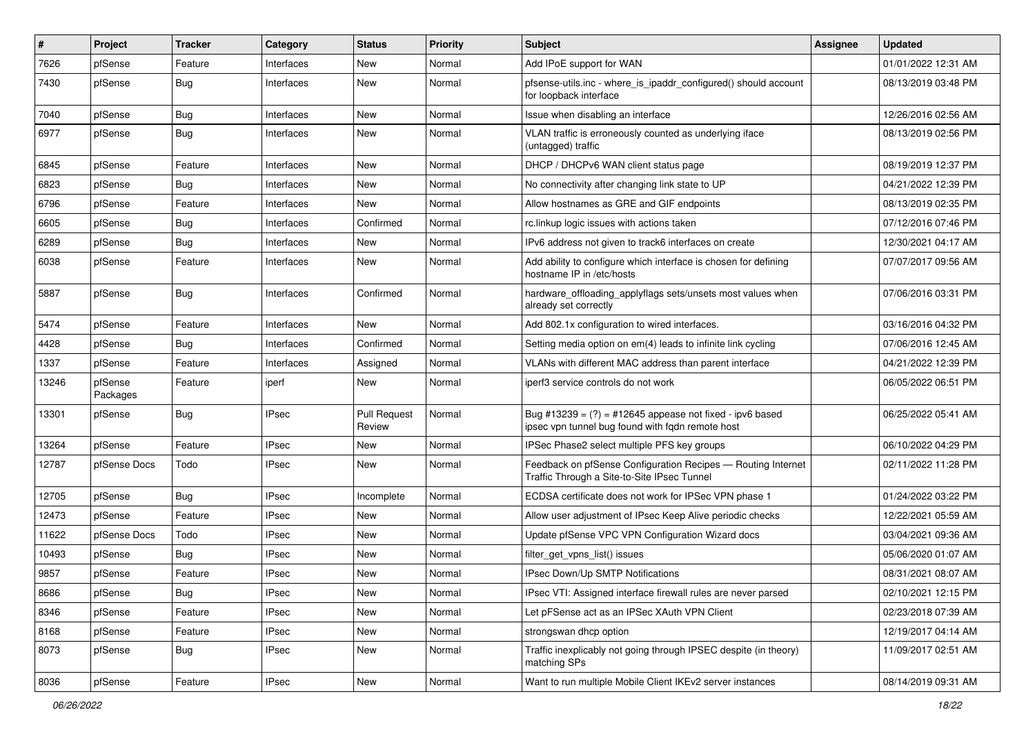| $\#$  | Project             | <b>Tracker</b> | Category     | <b>Status</b>                 | Priority | Subject                                                                                                        | <b>Assignee</b> | <b>Updated</b>      |
|-------|---------------------|----------------|--------------|-------------------------------|----------|----------------------------------------------------------------------------------------------------------------|-----------------|---------------------|
| 7626  | pfSense             | Feature        | Interfaces   | New                           | Normal   | Add IPoE support for WAN                                                                                       |                 | 01/01/2022 12:31 AM |
| 7430  | pfSense             | Bug            | Interfaces   | <b>New</b>                    | Normal   | pfsense-utils.inc - where_is_ipaddr_configured() should account<br>for loopback interface                      |                 | 08/13/2019 03:48 PM |
| 7040  | pfSense             | <b>Bug</b>     | Interfaces   | New                           | Normal   | Issue when disabling an interface                                                                              |                 | 12/26/2016 02:56 AM |
| 6977  | pfSense             | Bug            | Interfaces   | New                           | Normal   | VLAN traffic is erroneously counted as underlying iface<br>(untagged) traffic                                  |                 | 08/13/2019 02:56 PM |
| 6845  | pfSense             | Feature        | Interfaces   | New                           | Normal   | DHCP / DHCPv6 WAN client status page                                                                           |                 | 08/19/2019 12:37 PM |
| 6823  | pfSense             | Bug            | Interfaces   | <b>New</b>                    | Normal   | No connectivity after changing link state to UP                                                                |                 | 04/21/2022 12:39 PM |
| 6796  | pfSense             | Feature        | Interfaces   | New                           | Normal   | Allow hostnames as GRE and GIF endpoints                                                                       |                 | 08/13/2019 02:35 PM |
| 6605  | pfSense             | Bug            | Interfaces   | Confirmed                     | Normal   | rc.linkup logic issues with actions taken                                                                      |                 | 07/12/2016 07:46 PM |
| 6289  | pfSense             | Bug            | Interfaces   | New                           | Normal   | IPv6 address not given to track6 interfaces on create                                                          |                 | 12/30/2021 04:17 AM |
| 6038  | pfSense             | Feature        | Interfaces   | New                           | Normal   | Add ability to configure which interface is chosen for defining<br>hostname IP in /etc/hosts                   |                 | 07/07/2017 09:56 AM |
| 5887  | pfSense             | Bug            | Interfaces   | Confirmed                     | Normal   | hardware_offloading_applyflags sets/unsets most values when<br>already set correctly                           |                 | 07/06/2016 03:31 PM |
| 5474  | pfSense             | Feature        | Interfaces   | <b>New</b>                    | Normal   | Add 802.1x configuration to wired interfaces.                                                                  |                 | 03/16/2016 04:32 PM |
| 4428  | pfSense             | Bug            | Interfaces   | Confirmed                     | Normal   | Setting media option on em(4) leads to infinite link cycling                                                   |                 | 07/06/2016 12:45 AM |
| 1337  | pfSense             | Feature        | Interfaces   | Assigned                      | Normal   | VLANs with different MAC address than parent interface                                                         |                 | 04/21/2022 12:39 PM |
| 13246 | pfSense<br>Packages | Feature        | iperf        | New                           | Normal   | iperf3 service controls do not work                                                                            |                 | 06/05/2022 06:51 PM |
| 13301 | pfSense             | Bug            | <b>IPsec</b> | <b>Pull Request</b><br>Review | Normal   | Bug #13239 = $(?)$ = #12645 appease not fixed - ipv6 based<br>ipsec vpn tunnel bug found with fqdn remote host |                 | 06/25/2022 05:41 AM |
| 13264 | pfSense             | Feature        | <b>IPsec</b> | New                           | Normal   | IPSec Phase2 select multiple PFS key groups                                                                    |                 | 06/10/2022 04:29 PM |
| 12787 | pfSense Docs        | Todo           | <b>IPsec</b> | New                           | Normal   | Feedback on pfSense Configuration Recipes - Routing Internet<br>Traffic Through a Site-to-Site IPsec Tunnel    |                 | 02/11/2022 11:28 PM |
| 12705 | pfSense             | Bug            | <b>IPsec</b> | Incomplete                    | Normal   | ECDSA certificate does not work for IPSec VPN phase 1                                                          |                 | 01/24/2022 03:22 PM |
| 12473 | pfSense             | Feature        | <b>IPsec</b> | New                           | Normal   | Allow user adjustment of IPsec Keep Alive periodic checks                                                      |                 | 12/22/2021 05:59 AM |
| 11622 | pfSense Docs        | Todo           | <b>IPsec</b> | New                           | Normal   | Update pfSense VPC VPN Configuration Wizard docs                                                               |                 | 03/04/2021 09:36 AM |
| 10493 | pfSense             | Bug            | <b>IPsec</b> | New                           | Normal   | filter_get_vpns_list() issues                                                                                  |                 | 05/06/2020 01:07 AM |
| 9857  | pfSense             | Feature        | <b>IPsec</b> | New                           | Normal   | IPsec Down/Up SMTP Notifications                                                                               |                 | 08/31/2021 08:07 AM |
| 8686  | pfSense             | <b>Bug</b>     | <b>IPsec</b> | New                           | Normal   | IPsec VTI: Assigned interface firewall rules are never parsed                                                  |                 | 02/10/2021 12:15 PM |
| 8346  | pfSense             | Feature        | <b>IPsec</b> | New                           | Normal   | Let pFSense act as an IPSec XAuth VPN Client                                                                   |                 | 02/23/2018 07:39 AM |
| 8168  | pfSense             | Feature        | <b>IPsec</b> | New                           | Normal   | strongswan dhcp option                                                                                         |                 | 12/19/2017 04:14 AM |
| 8073  | pfSense             | <b>Bug</b>     | IPsec        | New                           | Normal   | Traffic inexplicably not going through IPSEC despite (in theory)<br>matching SPs                               |                 | 11/09/2017 02:51 AM |
| 8036  | pfSense             | Feature        | <b>IPsec</b> | New                           | Normal   | Want to run multiple Mobile Client IKEv2 server instances                                                      |                 | 08/14/2019 09:31 AM |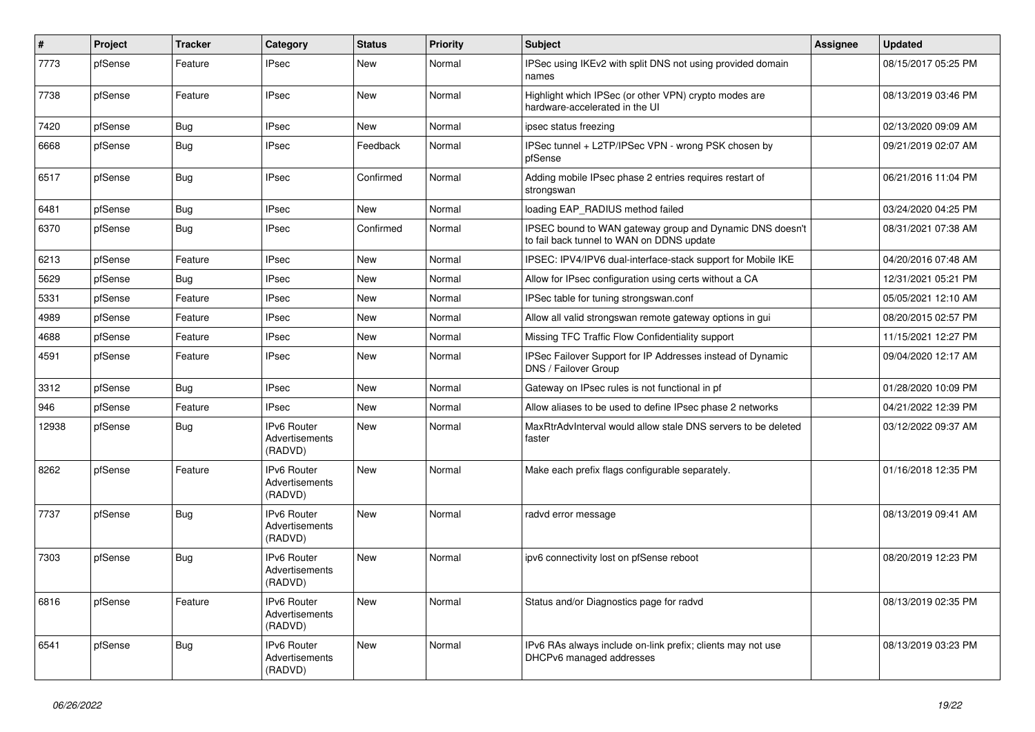| #     | Project | <b>Tracker</b> | Category                                        | <b>Status</b> | <b>Priority</b> | <b>Subject</b>                                                                                        | <b>Assignee</b> | <b>Updated</b>      |
|-------|---------|----------------|-------------------------------------------------|---------------|-----------------|-------------------------------------------------------------------------------------------------------|-----------------|---------------------|
| 7773  | pfSense | Feature        | <b>IPsec</b>                                    | New           | Normal          | IPSec using IKEv2 with split DNS not using provided domain<br>names                                   |                 | 08/15/2017 05:25 PM |
| 7738  | pfSense | Feature        | <b>IPsec</b>                                    | New           | Normal          | Highlight which IPSec (or other VPN) crypto modes are<br>hardware-accelerated in the UI               |                 | 08/13/2019 03:46 PM |
| 7420  | pfSense | <b>Bug</b>     | <b>IPsec</b>                                    | New           | Normal          | ipsec status freezing                                                                                 |                 | 02/13/2020 09:09 AM |
| 6668  | pfSense | Bug            | <b>IPsec</b>                                    | Feedback      | Normal          | IPSec tunnel + L2TP/IPSec VPN - wrong PSK chosen by<br>pfSense                                        |                 | 09/21/2019 02:07 AM |
| 6517  | pfSense | <b>Bug</b>     | <b>IPsec</b>                                    | Confirmed     | Normal          | Adding mobile IPsec phase 2 entries requires restart of<br>strongswan                                 |                 | 06/21/2016 11:04 PM |
| 6481  | pfSense | Bug            | <b>IPsec</b>                                    | <b>New</b>    | Normal          | loading EAP RADIUS method failed                                                                      |                 | 03/24/2020 04:25 PM |
| 6370  | pfSense | Bug            | <b>IPsec</b>                                    | Confirmed     | Normal          | IPSEC bound to WAN gateway group and Dynamic DNS doesn't<br>to fail back tunnel to WAN on DDNS update |                 | 08/31/2021 07:38 AM |
| 6213  | pfSense | Feature        | <b>IPsec</b>                                    | New           | Normal          | IPSEC: IPV4/IPV6 dual-interface-stack support for Mobile IKE                                          |                 | 04/20/2016 07:48 AM |
| 5629  | pfSense | Bug            | <b>IPsec</b>                                    | New           | Normal          | Allow for IPsec configuration using certs without a CA                                                |                 | 12/31/2021 05:21 PM |
| 5331  | pfSense | Feature        | <b>IPsec</b>                                    | New           | Normal          | IPSec table for tuning strongswan.conf                                                                |                 | 05/05/2021 12:10 AM |
| 4989  | pfSense | Feature        | <b>IPsec</b>                                    | New           | Normal          | Allow all valid strongswan remote gateway options in gui                                              |                 | 08/20/2015 02:57 PM |
| 4688  | pfSense | Feature        | <b>IPsec</b>                                    | New           | Normal          | Missing TFC Traffic Flow Confidentiality support                                                      |                 | 11/15/2021 12:27 PM |
| 4591  | pfSense | Feature        | <b>IPsec</b>                                    | New           | Normal          | IPSec Failover Support for IP Addresses instead of Dynamic<br>DNS / Failover Group                    |                 | 09/04/2020 12:17 AM |
| 3312  | pfSense | Bug            | <b>IPsec</b>                                    | New           | Normal          | Gateway on IPsec rules is not functional in pf                                                        |                 | 01/28/2020 10:09 PM |
| 946   | pfSense | Feature        | <b>IPsec</b>                                    | <b>New</b>    | Normal          | Allow aliases to be used to define IPsec phase 2 networks                                             |                 | 04/21/2022 12:39 PM |
| 12938 | pfSense | Bug            | <b>IPv6 Router</b><br>Advertisements<br>(RADVD) | <b>New</b>    | Normal          | MaxRtrAdvInterval would allow stale DNS servers to be deleted<br>faster                               |                 | 03/12/2022 09:37 AM |
| 8262  | pfSense | Feature        | IPv6 Router<br>Advertisements<br>(RADVD)        | New           | Normal          | Make each prefix flags configurable separately.                                                       |                 | 01/16/2018 12:35 PM |
| 7737  | pfSense | Bug            | IPv6 Router<br>Advertisements<br>(RADVD)        | New           | Normal          | radvd error message                                                                                   |                 | 08/13/2019 09:41 AM |
| 7303  | pfSense | Bug            | IPv6 Router<br>Advertisements<br>(RADVD)        | New           | Normal          | ipv6 connectivity lost on pfSense reboot                                                              |                 | 08/20/2019 12:23 PM |
| 6816  | pfSense | Feature        | IPv6 Router<br>Advertisements<br>(RADVD)        | New           | Normal          | Status and/or Diagnostics page for radvd                                                              |                 | 08/13/2019 02:35 PM |
| 6541  | pfSense | <b>Bug</b>     | IPv6 Router<br>Advertisements<br>(RADVD)        | New           | Normal          | IPv6 RAs always include on-link prefix; clients may not use<br>DHCPv6 managed addresses               |                 | 08/13/2019 03:23 PM |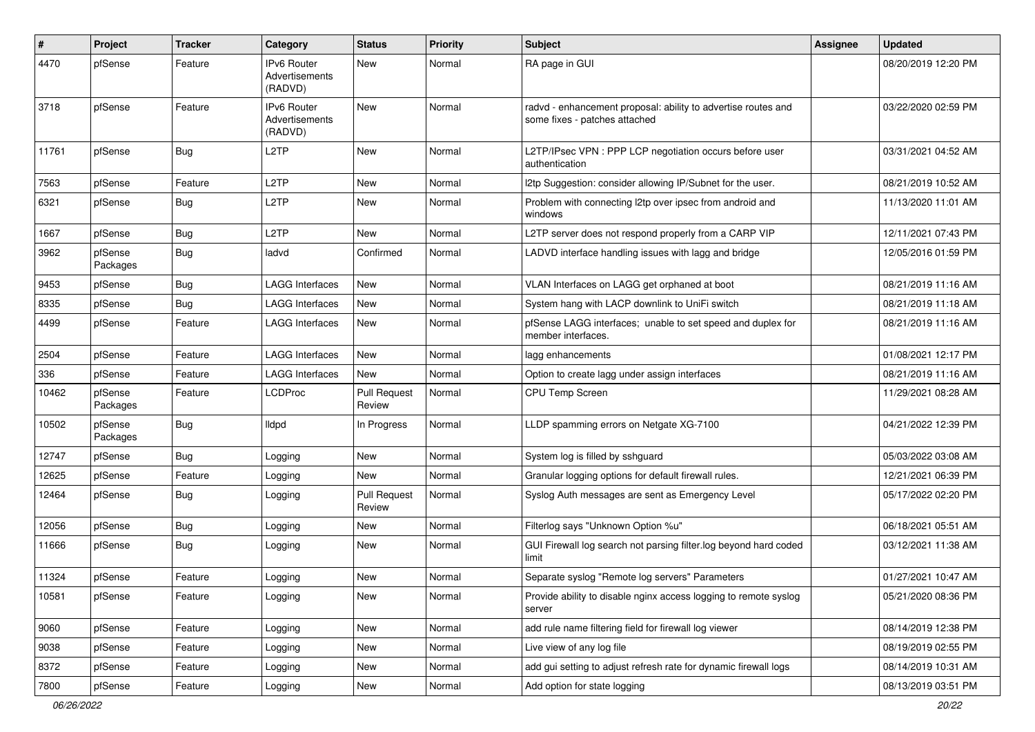| $\#$  | Project             | <b>Tracker</b> | Category                                        | <b>Status</b>                 | <b>Priority</b> | <b>Subject</b>                                                                                 | Assignee | <b>Updated</b>      |
|-------|---------------------|----------------|-------------------------------------------------|-------------------------------|-----------------|------------------------------------------------------------------------------------------------|----------|---------------------|
| 4470  | pfSense             | Feature        | <b>IPv6 Router</b><br>Advertisements<br>(RADVD) | New                           | Normal          | RA page in GUI                                                                                 |          | 08/20/2019 12:20 PM |
| 3718  | pfSense             | Feature        | <b>IPv6 Router</b><br>Advertisements<br>(RADVD) | <b>New</b>                    | Normal          | radvd - enhancement proposal: ability to advertise routes and<br>some fixes - patches attached |          | 03/22/2020 02:59 PM |
| 11761 | pfSense             | <b>Bug</b>     | L <sub>2</sub> TP                               | New                           | Normal          | L2TP/IPsec VPN : PPP LCP negotiation occurs before user<br>authentication                      |          | 03/31/2021 04:52 AM |
| 7563  | pfSense             | Feature        | L <sub>2</sub> TP                               | <b>New</b>                    | Normal          | I2tp Suggestion: consider allowing IP/Subnet for the user.                                     |          | 08/21/2019 10:52 AM |
| 6321  | pfSense             | Bug            | L <sub>2</sub> TP                               | New                           | Normal          | Problem with connecting l2tp over ipsec from android and<br>windows                            |          | 11/13/2020 11:01 AM |
| 1667  | pfSense             | Bug            | L <sub>2</sub> TP                               | New                           | Normal          | L2TP server does not respond properly from a CARP VIP                                          |          | 12/11/2021 07:43 PM |
| 3962  | pfSense<br>Packages | <b>Bug</b>     | ladvd                                           | Confirmed                     | Normal          | LADVD interface handling issues with lagg and bridge                                           |          | 12/05/2016 01:59 PM |
| 9453  | pfSense             | Bug            | <b>LAGG Interfaces</b>                          | New                           | Normal          | VLAN Interfaces on LAGG get orphaned at boot                                                   |          | 08/21/2019 11:16 AM |
| 8335  | pfSense             | <b>Bug</b>     | <b>LAGG Interfaces</b>                          | New                           | Normal          | System hang with LACP downlink to UniFi switch                                                 |          | 08/21/2019 11:18 AM |
| 4499  | pfSense             | Feature        | <b>LAGG Interfaces</b>                          | New                           | Normal          | pfSense LAGG interfaces; unable to set speed and duplex for<br>member interfaces.              |          | 08/21/2019 11:16 AM |
| 2504  | pfSense             | Feature        | <b>LAGG Interfaces</b>                          | <b>New</b>                    | Normal          | lagg enhancements                                                                              |          | 01/08/2021 12:17 PM |
| 336   | pfSense             | Feature        | <b>LAGG Interfaces</b>                          | New                           | Normal          | Option to create lagg under assign interfaces                                                  |          | 08/21/2019 11:16 AM |
| 10462 | pfSense<br>Packages | Feature        | <b>LCDProc</b>                                  | <b>Pull Request</b><br>Review | Normal          | CPU Temp Screen                                                                                |          | 11/29/2021 08:28 AM |
| 10502 | pfSense<br>Packages | Bug            | <b>Ildpd</b>                                    | In Progress                   | Normal          | LLDP spamming errors on Netgate XG-7100                                                        |          | 04/21/2022 12:39 PM |
| 12747 | pfSense             | Bug            | Logging                                         | New                           | Normal          | System log is filled by sshguard                                                               |          | 05/03/2022 03:08 AM |
| 12625 | pfSense             | Feature        | Logging                                         | New                           | Normal          | Granular logging options for default firewall rules.                                           |          | 12/21/2021 06:39 PM |
| 12464 | pfSense             | Bug            | Logging                                         | <b>Pull Request</b><br>Review | Normal          | Syslog Auth messages are sent as Emergency Level                                               |          | 05/17/2022 02:20 PM |
| 12056 | pfSense             | Bug            | Logging                                         | New                           | Normal          | Filterlog says "Unknown Option %u"                                                             |          | 06/18/2021 05:51 AM |
| 11666 | pfSense             | Bug            | Logging                                         | New                           | Normal          | GUI Firewall log search not parsing filter.log beyond hard coded<br>limit                      |          | 03/12/2021 11:38 AM |
| 11324 | pfSense             | Feature        | Logging                                         | New                           | Normal          | Separate syslog "Remote log servers" Parameters                                                |          | 01/27/2021 10:47 AM |
| 10581 | pfSense             | Feature        | Logging                                         | New                           | Normal          | Provide ability to disable nginx access logging to remote syslog<br>server                     |          | 05/21/2020 08:36 PM |
| 9060  | pfSense             | Feature        | Logging                                         | New                           | Normal          | add rule name filtering field for firewall log viewer                                          |          | 08/14/2019 12:38 PM |
| 9038  | pfSense             | Feature        | Logging                                         | New                           | Normal          | Live view of any log file                                                                      |          | 08/19/2019 02:55 PM |
| 8372  | pfSense             | Feature        | Logging                                         | New                           | Normal          | add gui setting to adjust refresh rate for dynamic firewall logs                               |          | 08/14/2019 10:31 AM |
| 7800  | pfSense             | Feature        | Logging                                         | New                           | Normal          | Add option for state logging                                                                   |          | 08/13/2019 03:51 PM |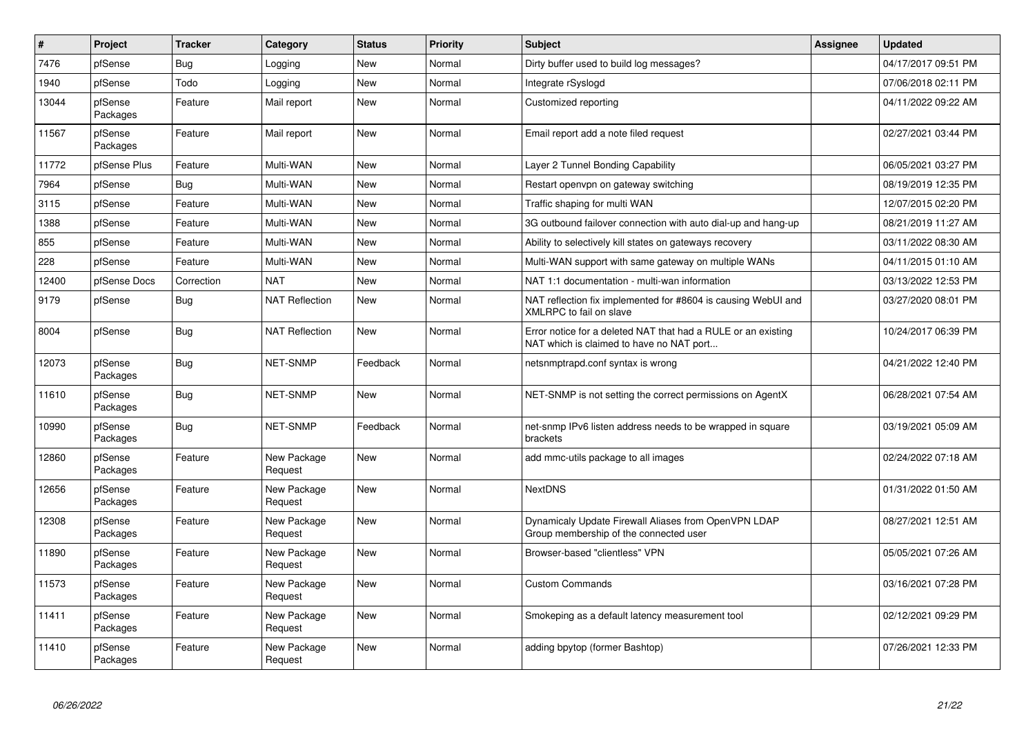| #     | Project             | <b>Tracker</b> | Category               | <b>Status</b> | Priority | <b>Subject</b>                                                                                            | <b>Assignee</b> | <b>Updated</b>      |
|-------|---------------------|----------------|------------------------|---------------|----------|-----------------------------------------------------------------------------------------------------------|-----------------|---------------------|
| 7476  | pfSense             | Bug            | Logging                | <b>New</b>    | Normal   | Dirty buffer used to build log messages?                                                                  |                 | 04/17/2017 09:51 PM |
| 1940  | pfSense             | Todo           | Logging                | New           | Normal   | Integrate rSyslogd                                                                                        |                 | 07/06/2018 02:11 PM |
| 13044 | pfSense<br>Packages | Feature        | Mail report            | <b>New</b>    | Normal   | Customized reporting                                                                                      |                 | 04/11/2022 09:22 AM |
| 11567 | pfSense<br>Packages | Feature        | Mail report            | <b>New</b>    | Normal   | Email report add a note filed request                                                                     |                 | 02/27/2021 03:44 PM |
| 11772 | pfSense Plus        | Feature        | Multi-WAN              | <b>New</b>    | Normal   | Layer 2 Tunnel Bonding Capability                                                                         |                 | 06/05/2021 03:27 PM |
| 7964  | pfSense             | Bug            | Multi-WAN              | New           | Normal   | Restart openypn on gateway switching                                                                      |                 | 08/19/2019 12:35 PM |
| 3115  | pfSense             | Feature        | Multi-WAN              | <b>New</b>    | Normal   | Traffic shaping for multi WAN                                                                             |                 | 12/07/2015 02:20 PM |
| 1388  | pfSense             | Feature        | Multi-WAN              | <b>New</b>    | Normal   | 3G outbound failover connection with auto dial-up and hang-up                                             |                 | 08/21/2019 11:27 AM |
| 855   | pfSense             | Feature        | Multi-WAN              | <b>New</b>    | Normal   | Ability to selectively kill states on gateways recovery                                                   |                 | 03/11/2022 08:30 AM |
| 228   | pfSense             | Feature        | Multi-WAN              | New           | Normal   | Multi-WAN support with same gateway on multiple WANs                                                      |                 | 04/11/2015 01:10 AM |
| 12400 | pfSense Docs        | Correction     | <b>NAT</b>             | New           | Normal   | NAT 1:1 documentation - multi-wan information                                                             |                 | 03/13/2022 12:53 PM |
| 9179  | pfSense             | <b>Bug</b>     | <b>NAT Reflection</b>  | New           | Normal   | NAT reflection fix implemented for #8604 is causing WebUI and<br>XMLRPC to fail on slave                  |                 | 03/27/2020 08:01 PM |
| 8004  | pfSense             | Bug            | <b>NAT Reflection</b>  | New           | Normal   | Error notice for a deleted NAT that had a RULE or an existing<br>NAT which is claimed to have no NAT port |                 | 10/24/2017 06:39 PM |
| 12073 | pfSense<br>Packages | <b>Bug</b>     | <b>NET-SNMP</b>        | Feedback      | Normal   | netsnmptrapd.conf syntax is wrong                                                                         |                 | 04/21/2022 12:40 PM |
| 11610 | pfSense<br>Packages | <b>Bug</b>     | NET-SNMP               | New           | Normal   | NET-SNMP is not setting the correct permissions on AgentX                                                 |                 | 06/28/2021 07:54 AM |
| 10990 | pfSense<br>Packages | <b>Bug</b>     | NET-SNMP               | Feedback      | Normal   | net-snmp IPv6 listen address needs to be wrapped in square<br>brackets                                    |                 | 03/19/2021 05:09 AM |
| 12860 | pfSense<br>Packages | Feature        | New Package<br>Request | New           | Normal   | add mmc-utils package to all images                                                                       |                 | 02/24/2022 07:18 AM |
| 12656 | pfSense<br>Packages | Feature        | New Package<br>Request | New           | Normal   | <b>NextDNS</b>                                                                                            |                 | 01/31/2022 01:50 AM |
| 12308 | pfSense<br>Packages | Feature        | New Package<br>Request | <b>New</b>    | Normal   | Dynamicaly Update Firewall Aliases from OpenVPN LDAP<br>Group membership of the connected user            |                 | 08/27/2021 12:51 AM |
| 11890 | pfSense<br>Packages | Feature        | New Package<br>Request | New           | Normal   | Browser-based "clientless" VPN                                                                            |                 | 05/05/2021 07:26 AM |
| 11573 | pfSense<br>Packages | Feature        | New Package<br>Request | <b>New</b>    | Normal   | <b>Custom Commands</b>                                                                                    |                 | 03/16/2021 07:28 PM |
| 11411 | pfSense<br>Packages | Feature        | New Package<br>Request | <b>New</b>    | Normal   | Smokeping as a default latency measurement tool                                                           |                 | 02/12/2021 09:29 PM |
| 11410 | pfSense<br>Packages | Feature        | New Package<br>Request | <b>New</b>    | Normal   | adding bpytop (former Bashtop)                                                                            |                 | 07/26/2021 12:33 PM |